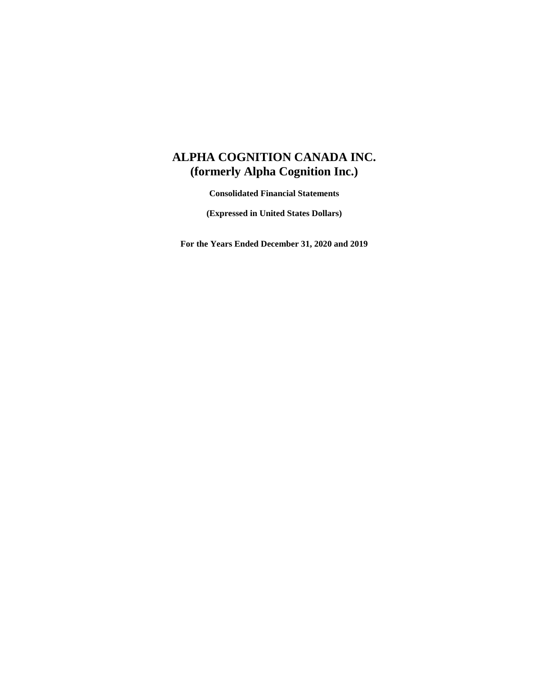# **ALPHA COGNITION CANADA INC. (formerly Alpha Cognition Inc.)**

**Consolidated Financial Statements**

**(Expressed in United States Dollars)**

**For the Years Ended December 31, 2020 and 2019**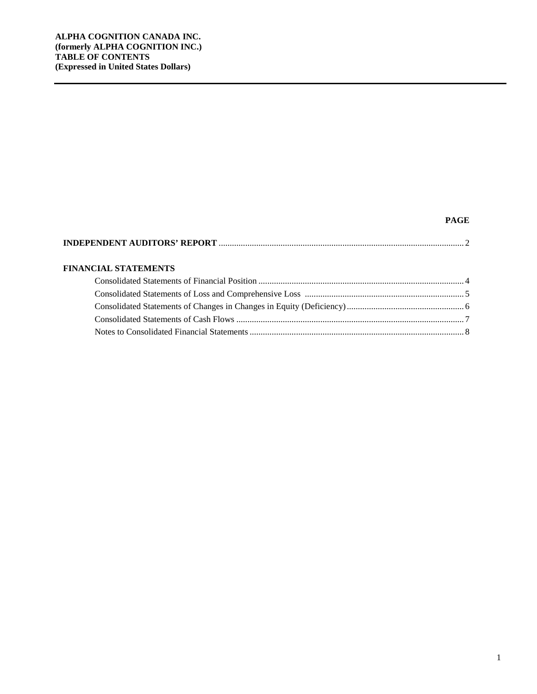# **INDEPENDENT AUDITORS' REPORT** ............................................................................................................... 2

# **FINANCIAL STATEMENTS**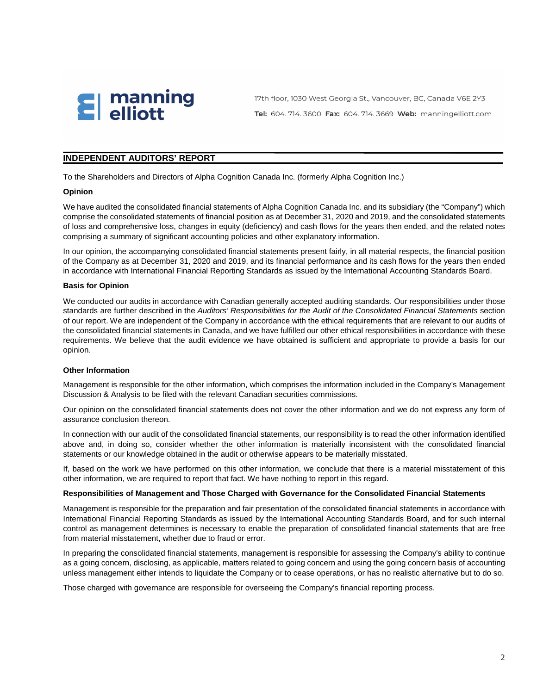

17th floor, 1030 West Georgia St., Vancouver, BC, Canada V6E 2Y3 Tel: 604.714.3600 Fax: 604.714.3669 Web: manningelliott.com

#### **INDEPENDENT AUDITORS' REPORT**

To the Shareholders and Directors of Alpha Cognition Canada Inc. (formerly Alpha Cognition Inc.)

#### **Opinion**

We have audited the consolidated financial statements of Alpha Cognition Canada Inc. and its subsidiary (the "Company") which comprise the consolidated statements of financial position as at December 31, 2020 and 2019, and the consolidated statements of loss and comprehensive loss, changes in equity (deficiency) and cash flows for the years then ended, and the related notes comprising a summary of significant accounting policies and other explanatory information.

In our opinion, the accompanying consolidated financial statements present fairly, in all material respects, the financial position of the Company as at December 31, 2020 and 2019, and its financial performance and its cash flows for the years then ended in accordance with International Financial Reporting Standards as issued by the International Accounting Standards Board.

#### **Basis for Opinion**

We conducted our audits in accordance with Canadian generally accepted auditing standards. Our responsibilities under those standards are further described in the Auditors' Responsibilities for the Audit of the Consolidated Financial Statements section of our report. We are independent of the Company in accordance with the ethical requirements that are relevant to our audits of the consolidated financial statements in Canada, and we have fulfilled our other ethical responsibilities in accordance with these requirements. We believe that the audit evidence we have obtained is sufficient and appropriate to provide a basis for our opinion.

#### **Other Information**

Management is responsible for the other information, which comprises the information included in the Company's Management Discussion & Analysis to be filed with the relevant Canadian securities commissions.

Our opinion on the consolidated financial statements does not cover the other information and we do not express any form of assurance conclusion thereon.

In connection with our audit of the consolidated financial statements, our responsibility is to read the other information identified above and, in doing so, consider whether the other information is materially inconsistent with the consolidated financial statements or our knowledge obtained in the audit or otherwise appears to be materially misstated.

If, based on the work we have performed on this other information, we conclude that there is a material misstatement of this other information, we are required to report that fact. We have nothing to report in this regard.

#### **Responsibilities of Management and Those Charged with Governance for the Consolidated Financial Statements**

Management is responsible for the preparation and fair presentation of the consolidated financial statements in accordance with International Financial Reporting Standards as issued by the International Accounting Standards Board, and for such internal control as management determines is necessary to enable the preparation of consolidated financial statements that are free from material misstatement, whether due to fraud or error.

In preparing the consolidated financial statements, management is responsible for assessing the Company's ability to continue as a going concern, disclosing, as applicable, matters related to going concern and using the going concern basis of accounting unless management either intends to liquidate the Company or to cease operations, or has no realistic alternative but to do so.

Those charged with governance are responsible for overseeing the Company's financial reporting process.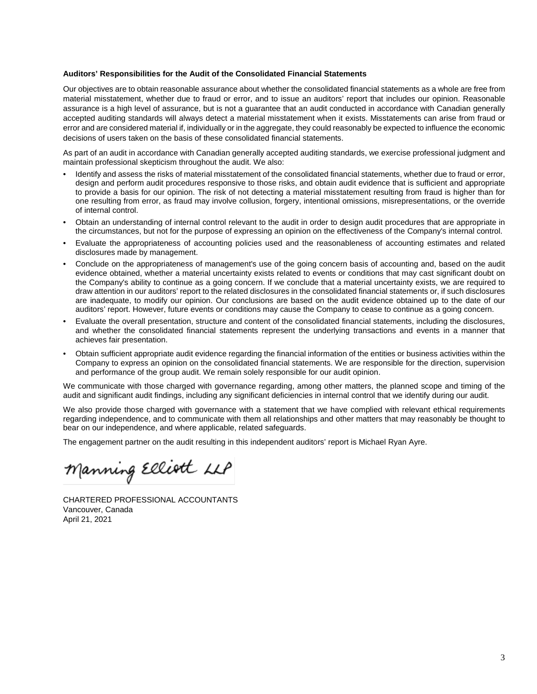#### **Auditors' Responsibilities for the Audit of the Consolidated Financial Statements**

Our objectives are to obtain reasonable assurance about whether the consolidated financial statements as a whole are free from material misstatement, whether due to fraud or error, and to issue an auditors' report that includes our opinion. Reasonable assurance is a high level of assurance, but is not a guarantee that an audit conducted in accordance with Canadian generally accepted auditing standards will always detect a material misstatement when it exists. Misstatements can arise from fraud or error and are considered material if, individually or in the aggregate, they could reasonably be expected to influence the economic decisions of users taken on the basis of these consolidated financial statements.

As part of an audit in accordance with Canadian generally accepted auditing standards, we exercise professional judgment and maintain professional skepticism throughout the audit. We also:

- Identify and assess the risks of material misstatement of the consolidated financial statements, whether due to fraud or error, design and perform audit procedures responsive to those risks, and obtain audit evidence that is sufficient and appropriate to provide a basis for our opinion. The risk of not detecting a material misstatement resulting from fraud is higher than for one resulting from error, as fraud may involve collusion, forgery, intentional omissions, misrepresentations, or the override of internal control.
- Obtain an understanding of internal control relevant to the audit in order to design audit procedures that are appropriate in the circumstances, but not for the purpose of expressing an opinion on the effectiveness of the Company's internal control.
- Evaluate the appropriateness of accounting policies used and the reasonableness of accounting estimates and related disclosures made by management.
- Conclude on the appropriateness of management's use of the going concern basis of accounting and, based on the audit evidence obtained, whether a material uncertainty exists related to events or conditions that may cast significant doubt on the Company's ability to continue as a going concern. If we conclude that a material uncertainty exists, we are required to draw attention in our auditors' report to the related disclosures in the consolidated financial statements or, if such disclosures are inadequate, to modify our opinion. Our conclusions are based on the audit evidence obtained up to the date of our auditors' report. However, future events or conditions may cause the Company to cease to continue as a going concern.
- Evaluate the overall presentation, structure and content of the consolidated financial statements, including the disclosures, and whether the consolidated financial statements represent the underlying transactions and events in a manner that achieves fair presentation.
- Obtain sufficient appropriate audit evidence regarding the financial information of the entities or business activities within the Company to express an opinion on the consolidated financial statements. We are responsible for the direction, supervision and performance of the group audit. We remain solely responsible for our audit opinion.

We communicate with those charged with governance regarding, among other matters, the planned scope and timing of the audit and significant audit findings, including any significant deficiencies in internal control that we identify during our audit.

We also provide those charged with governance with a statement that we have complied with relevant ethical requirements regarding independence, and to communicate with them all relationships and other matters that may reasonably be thought to bear on our independence, and where applicable, related safeguards.

The engagement partner on the audit resulting in this independent auditors' report is Michael Ryan Ayre.

Manning Elliott LLP

CHARTERED PROFESSIONAL ACCOUNTANTS Vancouver, Canada April 21, 2021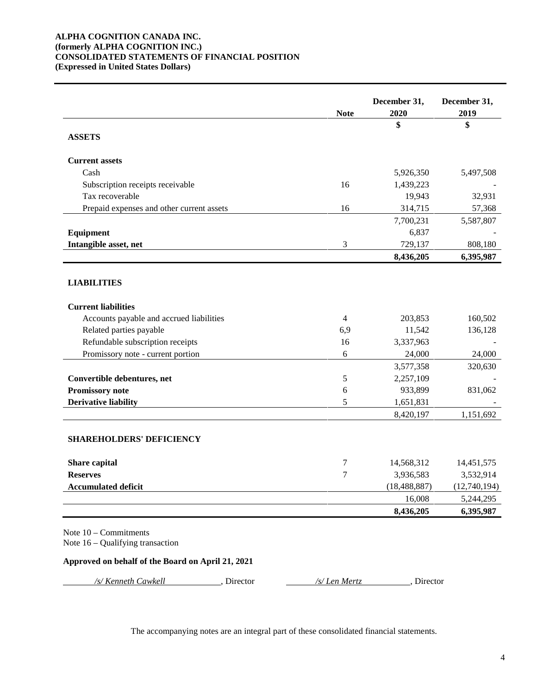### **ALPHA COGNITION CANADA INC. (formerly ALPHA COGNITION INC.) CONSOLIDATED STATEMENTS OF FINANCIAL POSITION (Expressed in United States Dollars)**

**December 31, December 31, Note 2020 2019 \$ \$ ASSETS Current assets** Cash 5,926,350 5,497,508 Subscription receipts receivable 16 1,439,223 Tax recoverable 22,931 32,931 Prepaid expenses and other current assets 16 314,715 57,368 7,700,231 5,587,807 **Equipment** 6,837 - **Intangible asset, net** 3 729,137 808,180 **8,436,205 6,395,987 LIABILITIES Current liabilities** Accounts payable and accrued liabilities 4 203,853 160,502 Related parties payable  $6.9$  11,542 136,128 Refundable subscription receipts 16 3,337,963 Promissory note - current portion 6 24,000 24,000 24,000 3,577,358 320,630 **Convertible debentures, net** 5 2,257,109 **Promissory note** 831,062 **Derivative liability** 5 1,651,831 8,420,197 1,151,692 **SHAREHOLDERS' DEFICIENCY Share capital** 7 14,568,312 14,451,575 **Reserves** 3,532,914 3,936,583 3,532,914 **Accumulated deficit** (18,488,887) (12,740,194) 16,008 5,244,295 **8,436,205 6,395,987**  Note 10 – Commitments Note 16 – Qualifying transaction **Approved on behalf of the Board on April 21, 2021**

*/s/ Kenneth Cawkell* , Director */s/ Len Mertz* , Director

The accompanying notes are an integral part of these consolidated financial statements.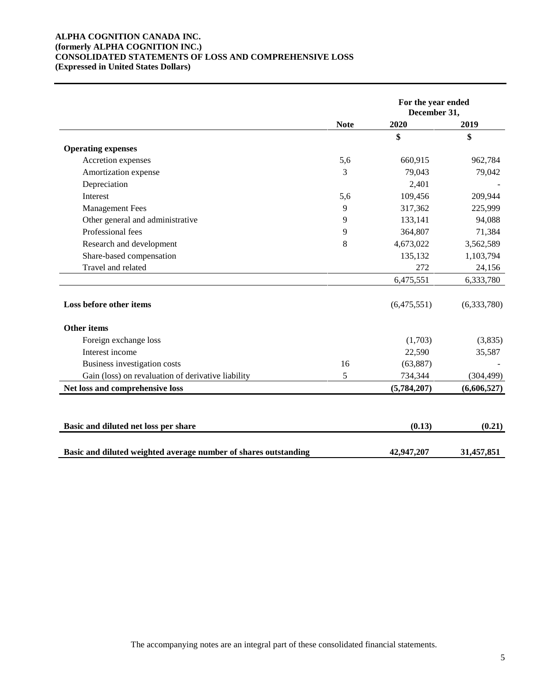## **ALPHA COGNITION CANADA INC. (formerly ALPHA COGNITION INC.) CONSOLIDATED STATEMENTS OF LOSS AND COMPREHENSIVE LOSS (Expressed in United States Dollars)**

|                                                                 |             | For the year ended<br>December 31, |             |
|-----------------------------------------------------------------|-------------|------------------------------------|-------------|
|                                                                 | <b>Note</b> | 2020                               | 2019        |
|                                                                 |             | \$                                 | \$          |
| <b>Operating expenses</b>                                       |             |                                    |             |
| Accretion expenses                                              | 5,6         | 660,915                            | 962,784     |
| Amortization expense                                            | 3           | 79,043                             | 79,042      |
| Depreciation                                                    |             | 2,401                              |             |
| Interest                                                        | 5,6         | 109,456                            | 209,944     |
| <b>Management Fees</b>                                          | 9           | 317,362                            | 225,999     |
| Other general and administrative                                | 9           | 133,141                            | 94,088      |
| Professional fees                                               | 9           | 364,807                            | 71,384      |
| Research and development                                        | 8           | 4,673,022                          | 3,562,589   |
| Share-based compensation                                        |             | 135,132                            | 1,103,794   |
| Travel and related                                              |             | 272                                | 24,156      |
|                                                                 |             | 6,475,551                          | 6,333,780   |
| Loss before other items                                         |             | (6,475,551)                        | (6,333,780) |
| <b>Other items</b>                                              |             |                                    |             |
| Foreign exchange loss                                           |             | (1,703)                            | (3,835)     |
| Interest income                                                 |             | 22,590                             | 35,587      |
| Business investigation costs                                    | 16          | (63, 887)                          |             |
| Gain (loss) on revaluation of derivative liability              | 5           | 734,344                            | (304, 499)  |
| Net loss and comprehensive loss                                 |             | (5,784,207)                        | (6,606,527) |
|                                                                 |             |                                    |             |
| Basic and diluted net loss per share                            |             | (0.13)                             | (0.21)      |
| Basic and diluted weighted average number of shares outstanding |             | 42,947,207                         | 31,457,851  |

The accompanying notes are an integral part of these consolidated financial statements.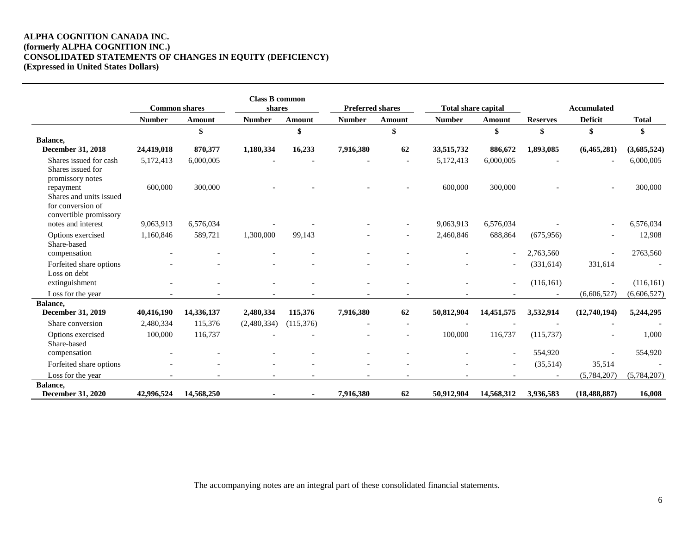## **ALPHA COGNITION CANADA INC. (formerly ALPHA COGNITION INC.) CONSOLIDATED STATEMENTS OF CHANGES IN EQUITY (DEFICIENCY) (Expressed in United States Dollars)**

|                                                                                     | <b>Common shares</b> |               | <b>Class B common</b><br>shares |               | <b>Preferred shares</b> |                          | <b>Total share capital</b> |            |                 | Accumulated    |              |
|-------------------------------------------------------------------------------------|----------------------|---------------|---------------------------------|---------------|-------------------------|--------------------------|----------------------------|------------|-----------------|----------------|--------------|
|                                                                                     | <b>Number</b>        | <b>Amount</b> | <b>Number</b>                   | <b>Amount</b> | <b>Number</b>           | Amount                   | <b>Number</b>              | Amount     | <b>Reserves</b> | <b>Deficit</b> | <b>Total</b> |
|                                                                                     |                      |               |                                 |               |                         |                          |                            | \$         | \$              | \$             | \$           |
| <b>Balance.</b><br><b>December 31, 2018</b>                                         | 24,419,018           | 870,377       | 1,180,334                       | 16,233        | 7,916,380               | 62                       | 33,515,732                 | 886,672    | 1,893,085       | (6,465,281)    | (3,685,524)  |
| Shares issued for cash<br>Shares issued for<br>promissory notes                     | 5,172,413            | 6,000,005     |                                 |               |                         | $\overline{\phantom{a}}$ | 5,172,413                  | 6,000,005  |                 |                | 6,000,005    |
| repayment<br>Shares and units issued<br>for conversion of<br>convertible promissory | 600,000              | 300,000       |                                 |               |                         |                          | 600,000                    | 300,000    |                 |                | 300,000      |
| notes and interest                                                                  | 9,063,913            | 6,576,034     |                                 |               |                         |                          | 9,063,913                  | 6,576,034  |                 |                | 6,576,034    |
| Options exercised<br>Share-based                                                    | 1,160,846            | 589,721       | 1,300,000                       | 99,143        |                         |                          | 2,460,846                  | 688,864    | (675, 956)      |                | 12,908       |
| compensation                                                                        |                      |               |                                 |               |                         |                          |                            |            | 2,763,560       |                | 2763,560     |
| Forfeited share options<br>Loss on debt                                             |                      |               |                                 |               |                         |                          |                            |            | (331, 614)      | 331,614        |              |
| extinguishment                                                                      |                      |               |                                 |               |                         |                          |                            |            | (116, 161)      |                | (116, 161)   |
| Loss for the year                                                                   |                      |               |                                 |               |                         |                          |                            |            |                 | (6,606,527)    | (6,606,527)  |
| <b>Balance</b> ,                                                                    |                      |               |                                 |               |                         |                          |                            |            |                 |                |              |
| December 31, 2019                                                                   | 40,416,190           | 14,336,137    | 2,480,334                       | 115,376       | 7,916,380               | 62                       | 50,812,904                 | 14,451,575 | 3,532,914       | (12,740,194)   | 5,244,295    |
| Share conversion                                                                    | 2,480,334            | 115,376       | (2,480,334)                     | (115,376)     |                         |                          |                            |            |                 |                |              |
| Options exercised<br>Share-based                                                    | 100,000              | 116,737       |                                 |               |                         |                          | 100,000                    | 116,737    | (115, 737)      |                | 1,000        |
| compensation                                                                        |                      |               |                                 |               |                         |                          |                            |            | 554,920         |                | 554,920      |
| Forfeited share options                                                             |                      |               |                                 |               |                         |                          |                            |            | (35,514)        | 35,514         |              |
| Loss for the year                                                                   |                      |               |                                 |               |                         |                          |                            |            |                 | (5,784,207)    | (5,784,207)  |
| Balance,<br><b>December 31, 2020</b>                                                | 42,996,524           | 14,568,250    |                                 |               | 7,916,380               | 62                       | 50,912,904                 | 14,568,312 | 3,936,583       | (18, 488, 887) | 16,008       |

The accompanying notes are an integral part of these consolidated financial statements.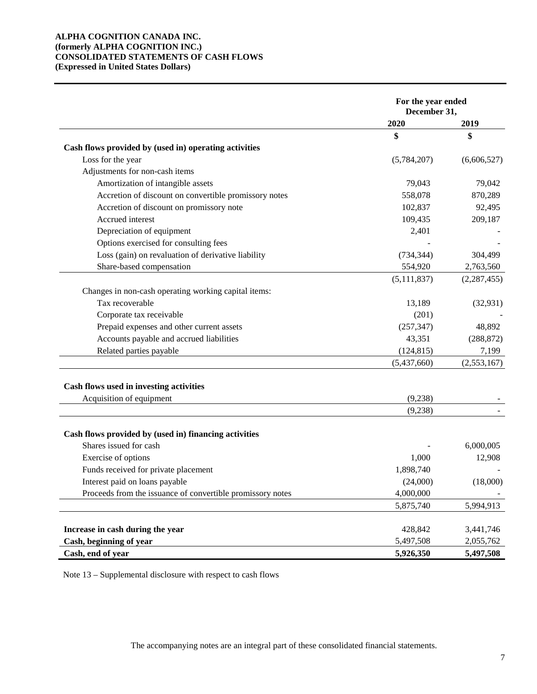## **ALPHA COGNITION CANADA INC. (formerly ALPHA COGNITION INC.) CONSOLIDATED STATEMENTS OF CASH FLOWS (Expressed in United States Dollars)**

|                                                            | For the year ended<br>December 31, |               |
|------------------------------------------------------------|------------------------------------|---------------|
|                                                            | 2020                               | 2019          |
|                                                            | \$                                 | \$            |
| Cash flows provided by (used in) operating activities      |                                    |               |
| Loss for the year                                          | (5,784,207)                        | (6,606,527)   |
| Adjustments for non-cash items                             |                                    |               |
| Amortization of intangible assets                          | 79,043                             | 79,042        |
| Accretion of discount on convertible promissory notes      | 558,078                            | 870,289       |
| Accretion of discount on promissory note                   | 102,837                            | 92,495        |
| Accrued interest                                           | 109,435                            | 209,187       |
| Depreciation of equipment                                  | 2,401                              |               |
| Options exercised for consulting fees                      |                                    |               |
| Loss (gain) on revaluation of derivative liability         | (734, 344)                         | 304,499       |
| Share-based compensation                                   | 554,920                            | 2,763,560     |
|                                                            | (5, 111, 837)                      | (2, 287, 455) |
| Changes in non-cash operating working capital items:       |                                    |               |
| Tax recoverable                                            | 13,189                             | (32, 931)     |
| Corporate tax receivable                                   | (201)                              |               |
| Prepaid expenses and other current assets                  | (257, 347)                         | 48,892        |
| Accounts payable and accrued liabilities                   | 43,351                             | (288, 872)    |
| Related parties payable                                    | (124, 815)                         | 7,199         |
|                                                            | (5,437,660)                        | (2,553,167)   |
| Cash flows used in investing activities                    |                                    |               |
| Acquisition of equipment                                   | (9,238)                            |               |
|                                                            | (9,238)                            |               |
| Cash flows provided by (used in) financing activities      |                                    |               |
| Shares issued for cash                                     |                                    | 6,000,005     |
| Exercise of options                                        | 1,000                              | 12,908        |
| Funds received for private placement                       | 1,898,740                          |               |
| Interest paid on loans payable                             | (24,000)                           | (18,000)      |
| Proceeds from the issuance of convertible promissory notes | 4,000,000                          |               |
|                                                            | 5,875,740                          | 5,994,913     |
| Increase in cash during the year                           | 428,842                            | 3,441,746     |
| Cash, beginning of year                                    | 5,497,508                          | 2,055,762     |
| Cash, end of year                                          | 5,926,350                          | 5,497,508     |

Note 13 – Supplemental disclosure with respect to cash flows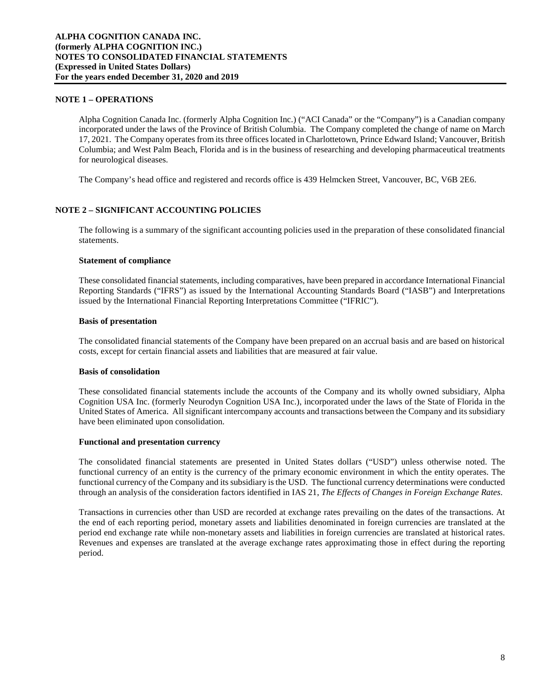## **NOTE 1 – OPERATIONS**

Alpha Cognition Canada Inc. (formerly Alpha Cognition Inc.) ("ACI Canada" or the "Company") is a Canadian company incorporated under the laws of the Province of British Columbia. The Company completed the change of name on March 17, 2021. The Company operates from its three offices located in Charlottetown, Prince Edward Island; Vancouver, British Columbia; and West Palm Beach, Florida and is in the business of researching and developing pharmaceutical treatments for neurological diseases.

The Company's head office and registered and records office is 439 Helmcken Street, Vancouver, BC, V6B 2E6.

## **NOTE 2 – SIGNIFICANT ACCOUNTING POLICIES**

The following is a summary of the significant accounting policies used in the preparation of these consolidated financial statements.

## **Statement of compliance**

These consolidated financial statements, including comparatives, have been prepared in accordance International Financial Reporting Standards ("IFRS") as issued by the International Accounting Standards Board ("IASB") and Interpretations issued by the International Financial Reporting Interpretations Committee ("IFRIC").

## **Basis of presentation**

The consolidated financial statements of the Company have been prepared on an accrual basis and are based on historical costs, except for certain financial assets and liabilities that are measured at fair value.

#### **Basis of consolidation**

These consolidated financial statements include the accounts of the Company and its wholly owned subsidiary, Alpha Cognition USA Inc. (formerly Neurodyn Cognition USA Inc.), incorporated under the laws of the State of Florida in the United States of America. All significant intercompany accounts and transactions between the Company and its subsidiary have been eliminated upon consolidation.

#### **Functional and presentation currency**

The consolidated financial statements are presented in United States dollars ("USD") unless otherwise noted. The functional currency of an entity is the currency of the primary economic environment in which the entity operates. The functional currency of the Company and its subsidiary is the USD. The functional currency determinations were conducted through an analysis of the consideration factors identified in IAS 21, *The Effects of Changes in Foreign Exchange Rates*.

Transactions in currencies other than USD are recorded at exchange rates prevailing on the dates of the transactions. At the end of each reporting period, monetary assets and liabilities denominated in foreign currencies are translated at the period end exchange rate while non-monetary assets and liabilities in foreign currencies are translated at historical rates. Revenues and expenses are translated at the average exchange rates approximating those in effect during the reporting period.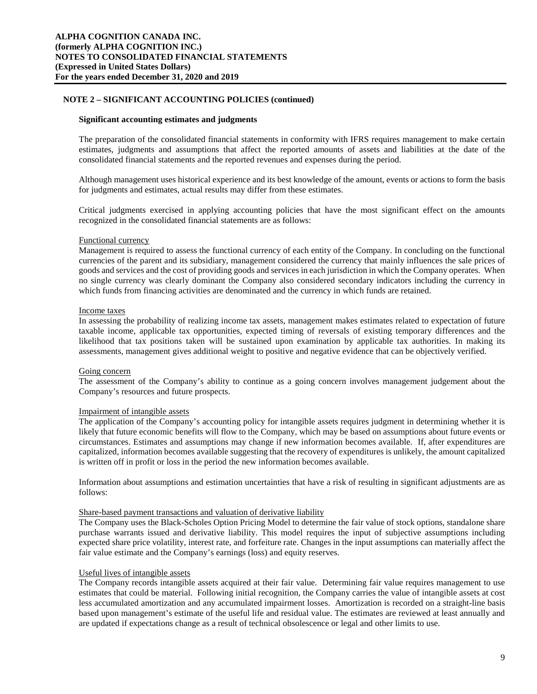#### **Significant accounting estimates and judgments**

The preparation of the consolidated financial statements in conformity with IFRS requires management to make certain estimates, judgments and assumptions that affect the reported amounts of assets and liabilities at the date of the consolidated financial statements and the reported revenues and expenses during the period.

Although management uses historical experience and its best knowledge of the amount, events or actions to form the basis for judgments and estimates, actual results may differ from these estimates.

Critical judgments exercised in applying accounting policies that have the most significant effect on the amounts recognized in the consolidated financial statements are as follows:

#### Functional currency

Management is required to assess the functional currency of each entity of the Company. In concluding on the functional currencies of the parent and its subsidiary, management considered the currency that mainly influences the sale prices of goods and services and the cost of providing goods and services in each jurisdiction in which the Company operates. When no single currency was clearly dominant the Company also considered secondary indicators including the currency in which funds from financing activities are denominated and the currency in which funds are retained.

#### Income taxes

In assessing the probability of realizing income tax assets, management makes estimates related to expectation of future taxable income, applicable tax opportunities, expected timing of reversals of existing temporary differences and the likelihood that tax positions taken will be sustained upon examination by applicable tax authorities. In making its assessments, management gives additional weight to positive and negative evidence that can be objectively verified.

#### Going concern

The assessment of the Company's ability to continue as a going concern involves management judgement about the Company's resources and future prospects.

#### Impairment of intangible assets

The application of the Company's accounting policy for intangible assets requires judgment in determining whether it is likely that future economic benefits will flow to the Company, which may be based on assumptions about future events or circumstances. Estimates and assumptions may change if new information becomes available. If, after expenditures are capitalized, information becomes available suggesting that the recovery of expenditures is unlikely, the amount capitalized is written off in profit or loss in the period the new information becomes available.

Information about assumptions and estimation uncertainties that have a risk of resulting in significant adjustments are as follows:

#### Share-based payment transactions and valuation of derivative liability

The Company uses the Black-Scholes Option Pricing Model to determine the fair value of stock options, standalone share purchase warrants issued and derivative liability. This model requires the input of subjective assumptions including expected share price volatility, interest rate, and forfeiture rate. Changes in the input assumptions can materially affect the fair value estimate and the Company's earnings (loss) and equity reserves.

#### Useful lives of intangible assets

The Company records intangible assets acquired at their fair value. Determining fair value requires management to use estimates that could be material. Following initial recognition, the Company carries the value of intangible assets at cost less accumulated amortization and any accumulated impairment losses. Amortization is recorded on a straight-line basis based upon management's estimate of the useful life and residual value. The estimates are reviewed at least annually and are updated if expectations change as a result of technical obsolescence or legal and other limits to use.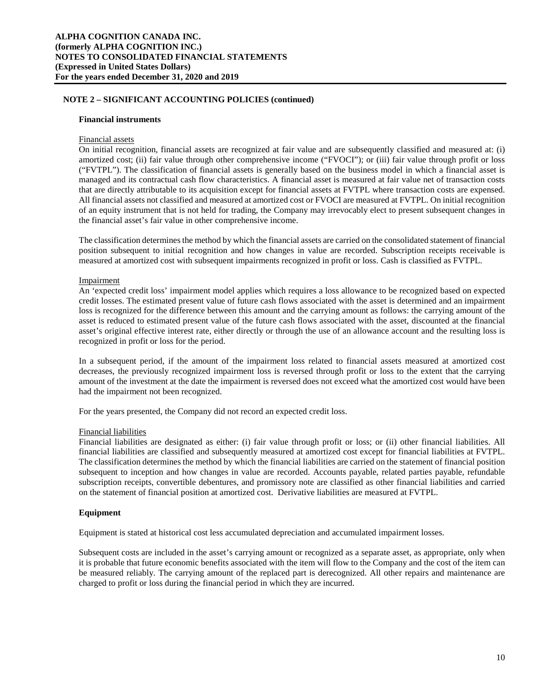## **Financial instruments**

#### Financial assets

On initial recognition, financial assets are recognized at fair value and are subsequently classified and measured at: (i) amortized cost; (ii) fair value through other comprehensive income ("FVOCI"); or (iii) fair value through profit or loss ("FVTPL"). The classification of financial assets is generally based on the business model in which a financial asset is managed and its contractual cash flow characteristics. A financial asset is measured at fair value net of transaction costs that are directly attributable to its acquisition except for financial assets at FVTPL where transaction costs are expensed. All financial assets not classified and measured at amortized cost or FVOCI are measured at FVTPL. On initial recognition of an equity instrument that is not held for trading, the Company may irrevocably elect to present subsequent changes in the financial asset's fair value in other comprehensive income.

The classification determines the method by which the financial assets are carried on the consolidated statement of financial position subsequent to initial recognition and how changes in value are recorded. Subscription receipts receivable is measured at amortized cost with subsequent impairments recognized in profit or loss. Cash is classified as FVTPL.

## Impairment

An 'expected credit loss' impairment model applies which requires a loss allowance to be recognized based on expected credit losses. The estimated present value of future cash flows associated with the asset is determined and an impairment loss is recognized for the difference between this amount and the carrying amount as follows: the carrying amount of the asset is reduced to estimated present value of the future cash flows associated with the asset, discounted at the financial asset's original effective interest rate, either directly or through the use of an allowance account and the resulting loss is recognized in profit or loss for the period.

In a subsequent period, if the amount of the impairment loss related to financial assets measured at amortized cost decreases, the previously recognized impairment loss is reversed through profit or loss to the extent that the carrying amount of the investment at the date the impairment is reversed does not exceed what the amortized cost would have been had the impairment not been recognized.

For the years presented, the Company did not record an expected credit loss.

## Financial liabilities

Financial liabilities are designated as either: (i) fair value through profit or loss; or (ii) other financial liabilities. All financial liabilities are classified and subsequently measured at amortized cost except for financial liabilities at FVTPL. The classification determines the method by which the financial liabilities are carried on the statement of financial position subsequent to inception and how changes in value are recorded. Accounts payable, related parties payable, refundable subscription receipts, convertible debentures, and promissory note are classified as other financial liabilities and carried on the statement of financial position at amortized cost. Derivative liabilities are measured at FVTPL.

## **Equipment**

Equipment is stated at historical cost less accumulated depreciation and accumulated impairment losses.

Subsequent costs are included in the asset's carrying amount or recognized as a separate asset, as appropriate, only when it is probable that future economic benefits associated with the item will flow to the Company and the cost of the item can be measured reliably. The carrying amount of the replaced part is derecognized. All other repairs and maintenance are charged to profit or loss during the financial period in which they are incurred.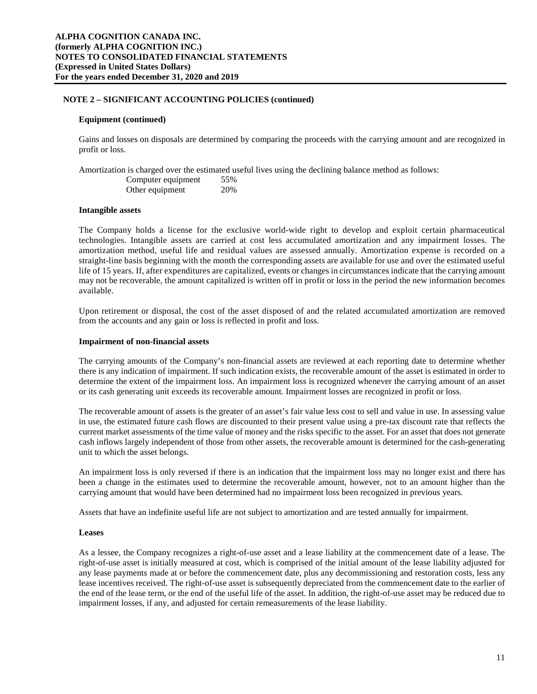#### **Equipment (continued)**

Gains and losses on disposals are determined by comparing the proceeds with the carrying amount and are recognized in profit or loss.

Amortization is charged over the estimated useful lives using the declining balance method as follows: Computer equipment 55% Other equipment 20%

## **Intangible assets**

The Company holds a license for the exclusive world-wide right to develop and exploit certain pharmaceutical technologies. Intangible assets are carried at cost less accumulated amortization and any impairment losses. The amortization method, useful life and residual values are assessed annually. Amortization expense is recorded on a straight-line basis beginning with the month the corresponding assets are available for use and over the estimated useful life of 15 years. If, after expenditures are capitalized, events or changes in circumstances indicate that the carrying amount may not be recoverable, the amount capitalized is written off in profit or loss in the period the new information becomes available.

Upon retirement or disposal, the cost of the asset disposed of and the related accumulated amortization are removed from the accounts and any gain or loss is reflected in profit and loss.

#### **Impairment of non-financial assets**

The carrying amounts of the Company's non-financial assets are reviewed at each reporting date to determine whether there is any indication of impairment. If such indication exists, the recoverable amount of the asset is estimated in order to determine the extent of the impairment loss. An impairment loss is recognized whenever the carrying amount of an asset or its cash generating unit exceeds its recoverable amount. Impairment losses are recognized in profit or loss.

The recoverable amount of assets is the greater of an asset's fair value less cost to sell and value in use. In assessing value in use, the estimated future cash flows are discounted to their present value using a pre-tax discount rate that reflects the current market assessments of the time value of money and the risks specific to the asset. For an asset that does not generate cash inflows largely independent of those from other assets, the recoverable amount is determined for the cash-generating unit to which the asset belongs.

An impairment loss is only reversed if there is an indication that the impairment loss may no longer exist and there has been a change in the estimates used to determine the recoverable amount, however, not to an amount higher than the carrying amount that would have been determined had no impairment loss been recognized in previous years.

Assets that have an indefinite useful life are not subject to amortization and are tested annually for impairment.

#### **Leases**

As a lessee, the Company recognizes a right-of-use asset and a lease liability at the commencement date of a lease. The right-of-use asset is initially measured at cost, which is comprised of the initial amount of the lease liability adjusted for any lease payments made at or before the commencement date, plus any decommissioning and restoration costs, less any lease incentives received. The right-of-use asset is subsequently depreciated from the commencement date to the earlier of the end of the lease term, or the end of the useful life of the asset. In addition, the right-of-use asset may be reduced due to impairment losses, if any, and adjusted for certain remeasurements of the lease liability.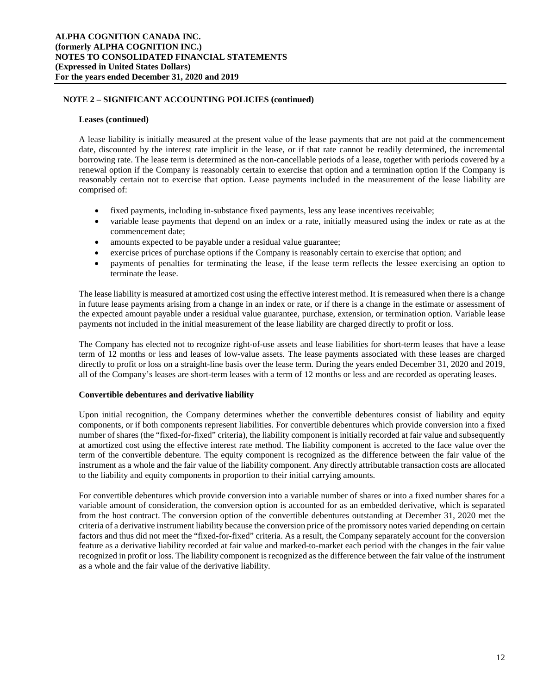## **Leases (continued)**

A lease liability is initially measured at the present value of the lease payments that are not paid at the commencement date, discounted by the interest rate implicit in the lease, or if that rate cannot be readily determined, the incremental borrowing rate. The lease term is determined as the non-cancellable periods of a lease, together with periods covered by a renewal option if the Company is reasonably certain to exercise that option and a termination option if the Company is reasonably certain not to exercise that option. Lease payments included in the measurement of the lease liability are comprised of:

- fixed payments, including in-substance fixed payments, less any lease incentives receivable;
- variable lease payments that depend on an index or a rate, initially measured using the index or rate as at the commencement date;
- amounts expected to be payable under a residual value guarantee;
- exercise prices of purchase options if the Company is reasonably certain to exercise that option; and
- payments of penalties for terminating the lease, if the lease term reflects the lessee exercising an option to terminate the lease.

The lease liability is measured at amortized cost using the effective interest method. It is remeasured when there is a change in future lease payments arising from a change in an index or rate, or if there is a change in the estimate or assessment of the expected amount payable under a residual value guarantee, purchase, extension, or termination option. Variable lease payments not included in the initial measurement of the lease liability are charged directly to profit or loss.

The Company has elected not to recognize right-of-use assets and lease liabilities for short-term leases that have a lease term of 12 months or less and leases of low-value assets. The lease payments associated with these leases are charged directly to profit or loss on a straight-line basis over the lease term. During the years ended December 31, 2020 and 2019, all of the Company's leases are short-term leases with a term of 12 months or less and are recorded as operating leases.

## **Convertible debentures and derivative liability**

Upon initial recognition, the Company determines whether the convertible debentures consist of liability and equity components, or if both components represent liabilities. For convertible debentures which provide conversion into a fixed number of shares (the "fixed-for-fixed" criteria), the liability component is initially recorded at fair value and subsequently at amortized cost using the effective interest rate method. The liability component is accreted to the face value over the term of the convertible debenture. The equity component is recognized as the difference between the fair value of the instrument as a whole and the fair value of the liability component. Any directly attributable transaction costs are allocated to the liability and equity components in proportion to their initial carrying amounts.

For convertible debentures which provide conversion into a variable number of shares or into a fixed number shares for a variable amount of consideration, the conversion option is accounted for as an embedded derivative, which is separated from the host contract. The conversion option of the convertible debentures outstanding at December 31, 2020 met the criteria of a derivative instrument liability because the conversion price of the promissory notes varied depending on certain factors and thus did not meet the "fixed-for-fixed" criteria. As a result, the Company separately account for the conversion feature as a derivative liability recorded at fair value and marked-to-market each period with the changes in the fair value recognized in profit or loss. The liability component is recognized as the difference between the fair value of the instrument as a whole and the fair value of the derivative liability.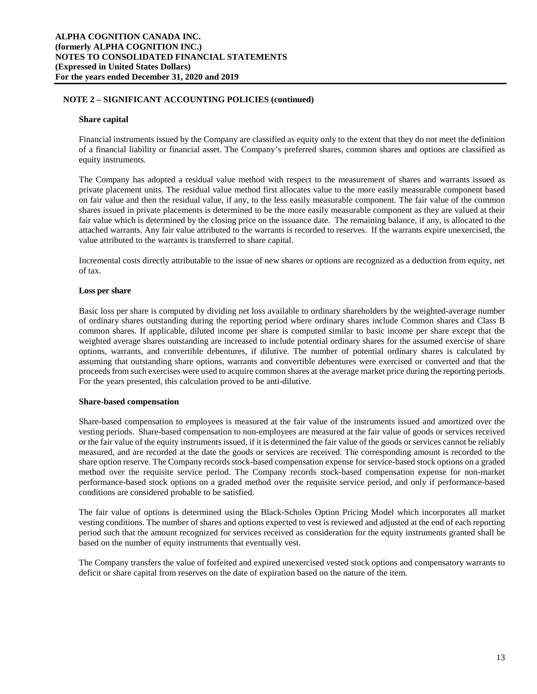### **Share capital**

Financial instruments issued by the Company are classified as equity only to the extent that they do not meet the definition of a financial liability or financial asset. The Company's preferred shares, common shares and options are classified as equity instruments.

The Company has adopted a residual value method with respect to the measurement of shares and warrants issued as private placement units. The residual value method first allocates value to the more easily measurable component based on fair value and then the residual value, if any, to the less easily measurable component. The fair value of the common shares issued in private placements is determined to be the more easily measurable component as they are valued at their fair value which is determined by the closing price on the issuance date. The remaining balance, if any, is allocated to the attached warrants. Any fair value attributed to the warrants is recorded to reserves. If the warrants expire unexercised, the value attributed to the warrants is transferred to share capital.

Incremental costs directly attributable to the issue of new shares or options are recognized as a deduction from equity, net of tax.

## **Loss per share**

Basic loss per share is computed by dividing net loss available to ordinary shareholders by the weighted-average number of ordinary shares outstanding during the reporting period where ordinary shares include Common shares and Class B common shares. If applicable, diluted income per share is computed similar to basic income per share except that the weighted average shares outstanding are increased to include potential ordinary shares for the assumed exercise of share options, warrants, and convertible debentures, if dilutive. The number of potential ordinary shares is calculated by assuming that outstanding share options, warrants and convertible debentures were exercised or converted and that the proceeds from such exercises were used to acquire common shares at the average market price during the reporting periods. For the years presented, this calculation proved to be anti-dilutive.

## **Share-based compensation**

Share-based compensation to employees is measured at the fair value of the instruments issued and amortized over the vesting periods. Share-based compensation to non-employees are measured at the fair value of goods or services received or the fair value of the equity instruments issued, if it is determined the fair value of the goods or services cannot be reliably measured, and are recorded at the date the goods or services are received. The corresponding amount is recorded to the share option reserve. The Company records stock-based compensation expense for service-based stock options on a graded method over the requisite service period. The Company records stock-based compensation expense for non-market performance-based stock options on a graded method over the requisite service period, and only if performance-based conditions are considered probable to be satisfied.

The fair value of options is determined using the Black-Scholes Option Pricing Model which incorporates all market vesting conditions. The number of shares and options expected to vest is reviewed and adjusted at the end of each reporting period such that the amount recognized for services received as consideration for the equity instruments granted shall be based on the number of equity instruments that eventually vest.

The Company transfers the value of forfeited and expired unexercised vested stock options and compensatory warrants to deficit or share capital from reserves on the date of expiration based on the nature of the item.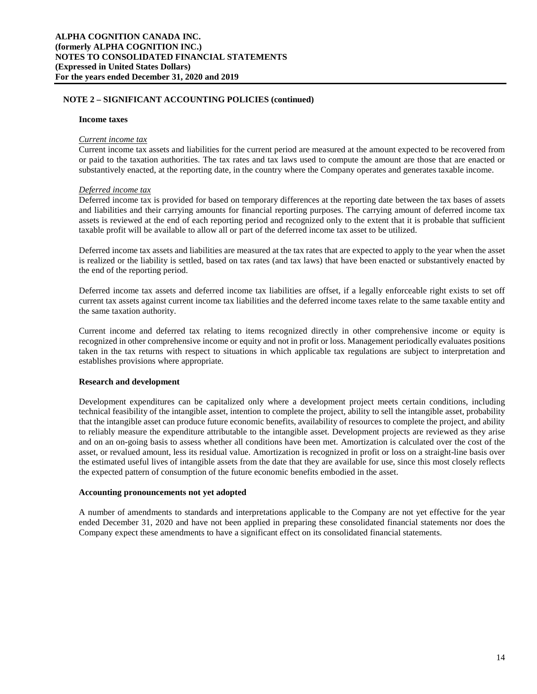#### **Income taxes**

#### *Current income tax*

Current income tax assets and liabilities for the current period are measured at the amount expected to be recovered from or paid to the taxation authorities. The tax rates and tax laws used to compute the amount are those that are enacted or substantively enacted, at the reporting date, in the country where the Company operates and generates taxable income.

### *Deferred income tax*

Deferred income tax is provided for based on temporary differences at the reporting date between the tax bases of assets and liabilities and their carrying amounts for financial reporting purposes. The carrying amount of deferred income tax assets is reviewed at the end of each reporting period and recognized only to the extent that it is probable that sufficient taxable profit will be available to allow all or part of the deferred income tax asset to be utilized.

Deferred income tax assets and liabilities are measured at the tax rates that are expected to apply to the year when the asset is realized or the liability is settled, based on tax rates (and tax laws) that have been enacted or substantively enacted by the end of the reporting period.

Deferred income tax assets and deferred income tax liabilities are offset, if a legally enforceable right exists to set off current tax assets against current income tax liabilities and the deferred income taxes relate to the same taxable entity and the same taxation authority.

Current income and deferred tax relating to items recognized directly in other comprehensive income or equity is recognized in other comprehensive income or equity and not in profit or loss. Management periodically evaluates positions taken in the tax returns with respect to situations in which applicable tax regulations are subject to interpretation and establishes provisions where appropriate.

#### **Research and development**

Development expenditures can be capitalized only where a development project meets certain conditions, including technical feasibility of the intangible asset, intention to complete the project, ability to sell the intangible asset, probability that the intangible asset can produce future economic benefits, availability of resources to complete the project, and ability to reliably measure the expenditure attributable to the intangible asset. Development projects are reviewed as they arise and on an on-going basis to assess whether all conditions have been met. Amortization is calculated over the cost of the asset, or revalued amount, less its residual value. Amortization is recognized in profit or loss on a straight-line basis over the estimated useful lives of intangible assets from the date that they are available for use, since this most closely reflects the expected pattern of consumption of the future economic benefits embodied in the asset.

#### **Accounting pronouncements not yet adopted**

A number of amendments to standards and interpretations applicable to the Company are not yet effective for the year ended December 31, 2020 and have not been applied in preparing these consolidated financial statements nor does the Company expect these amendments to have a significant effect on its consolidated financial statements.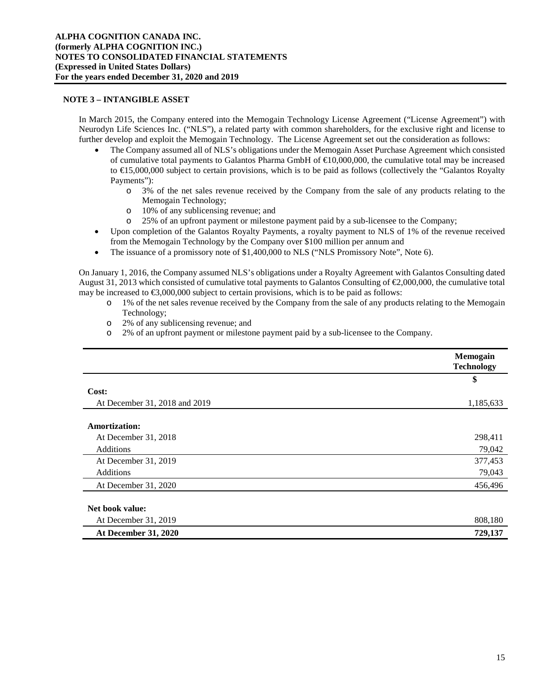## **NOTE 3 – INTANGIBLE ASSET**

In March 2015, the Company entered into the Memogain Technology License Agreement ("License Agreement") with Neurodyn Life Sciences Inc. ("NLS"), a related party with common shareholders, for the exclusive right and license to further develop and exploit the Memogain Technology. The License Agreement set out the consideration as follows:

- The Company assumed all of NLS's obligations under the Memogain Asset Purchase Agreement which consisted of cumulative total payments to Galantos Pharma GmbH of  $\text{E0,000,000}$ , the cumulative total may be increased to €15,000,000 subject to certain provisions, which is to be paid as follows (collectively the "Galantos Royalty Payments"):
	- o 3% of the net sales revenue received by the Company from the sale of any products relating to the Memogain Technology;
	- $\frac{10\% \text{ of any sublicensing revenue}}{25\% \text{ of an uniform payment or mileston}}$
	- 25% of an upfront payment or milestone payment paid by a sub-licensee to the Company;
- Upon completion of the Galantos Royalty Payments, a royalty payment to NLS of 1% of the revenue received from the Memogain Technology by the Company over \$100 million per annum and
- The issuance of a promissory note of \$1,400,000 to NLS ("NLS Promissory Note", Note 6).

On January 1, 2016, the Company assumed NLS's obligations under a Royalty Agreement with Galantos Consulting dated August 31, 2013 which consisted of cumulative total payments to Galantos Consulting of  $\epsilon$ 2,000,000, the cumulative total may be increased to  $\epsilon$ 3,000,000 subject to certain provisions, which is to be paid as follows:

- o 1% of the net sales revenue received by the Company from the sale of any products relating to the Memogain Technology;
- o 2% of any sublicensing revenue; and
- 2% of an upfront payment or milestone payment paid by a sub-licensee to the Company.

|                               | Memogain<br><b>Technology</b> |
|-------------------------------|-------------------------------|
|                               | \$                            |
| Cost:                         |                               |
| At December 31, 2018 and 2019 | 1,185,633                     |
|                               |                               |
| <b>Amortization:</b>          |                               |
| At December 31, 2018          | 298,411                       |
| <b>Additions</b>              | 79,042                        |
| At December 31, 2019          | 377,453                       |
| <b>Additions</b>              | 79,043                        |
| At December 31, 2020          | 456,496                       |
|                               |                               |
| Net book value:               |                               |
| At December 31, 2019          | 808,180                       |
| <b>At December 31, 2020</b>   | 729,137                       |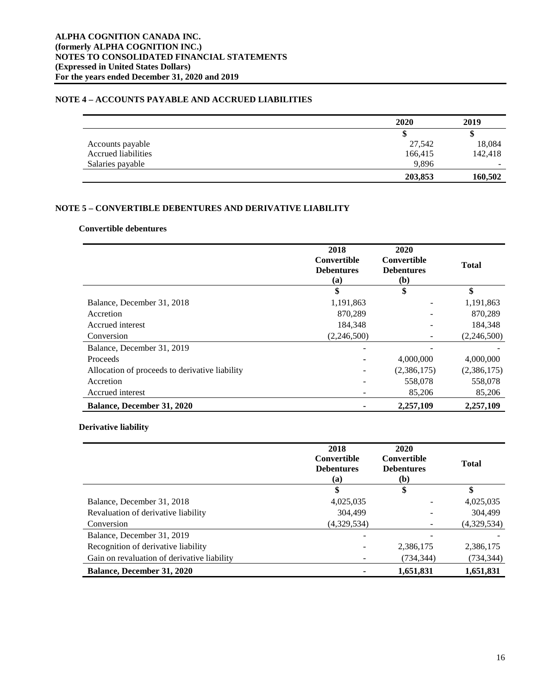## **NOTE 4 – ACCOUNTS PAYABLE AND ACCRUED LIABILITIES**

|                     | 2020    | 2019                         |
|---------------------|---------|------------------------------|
|                     |         |                              |
| Accounts payable    | 27,542  | 18,084                       |
| Accrued liabilities | 166,415 | 142,418                      |
| Salaries payable    | 9,896   | $\qquad \qquad \blacksquare$ |
|                     | 203,853 | 160,502                      |

# **NOTE 5 – CONVERTIBLE DEBENTURES AND DERIVATIVE LIABILITY**

# **Convertible debentures**

|                                                | 2018<br><b>Convertible</b><br><b>Debentures</b><br><b>(a)</b> | 2020<br><b>Convertible</b><br><b>Debentures</b><br>(b) | <b>Total</b> |
|------------------------------------------------|---------------------------------------------------------------|--------------------------------------------------------|--------------|
|                                                | \$                                                            | \$                                                     | \$           |
| Balance, December 31, 2018                     | 1,191,863                                                     |                                                        | 1,191,863    |
| Accretion                                      | 870,289                                                       |                                                        | 870,289      |
| Accrued interest                               | 184.348                                                       |                                                        | 184.348      |
| Conversion                                     | (2,246,500)                                                   |                                                        | (2,246,500)  |
| Balance, December 31, 2019                     |                                                               |                                                        |              |
| Proceeds                                       |                                                               | 4,000,000                                              | 4,000,000    |
| Allocation of proceeds to derivative liability |                                                               | (2,386,175)                                            | (2,386,175)  |
| Accretion                                      |                                                               | 558,078                                                | 558,078      |
| Accrued interest                               |                                                               | 85,206                                                 | 85,206       |
| <b>Balance, December 31, 2020</b>              |                                                               | 2,257,109                                              | 2,257,109    |

# **Derivative liability**

|                                             | 2018<br><b>Convertible</b><br><b>Debentures</b><br>(a) | 2020<br><b>Convertible</b><br><b>Debentures</b><br>(b) | <b>Total</b> |
|---------------------------------------------|--------------------------------------------------------|--------------------------------------------------------|--------------|
|                                             |                                                        | \$                                                     | \$           |
| Balance, December 31, 2018                  | 4,025,035                                              |                                                        | 4,025,035    |
| Revaluation of derivative liability         | 304.499                                                |                                                        | 304,499      |
| Conversion                                  | (4,329,534)                                            |                                                        | (4,329,534)  |
| Balance, December 31, 2019                  |                                                        |                                                        |              |
| Recognition of derivative liability         |                                                        | 2,386,175                                              | 2,386,175    |
| Gain on revaluation of derivative liability |                                                        | (734, 344)                                             | (734, 344)   |
| <b>Balance, December 31, 2020</b>           |                                                        | 1,651,831                                              | 1,651,831    |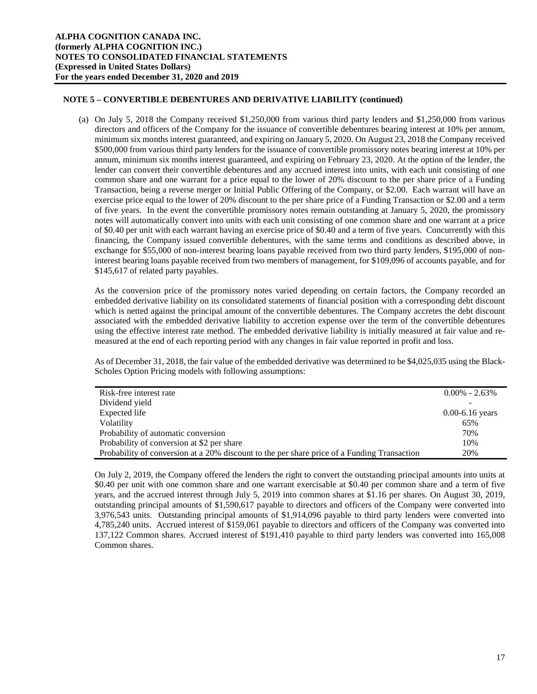## **NOTE 5 – CONVERTIBLE DEBENTURES AND DERIVATIVE LIABILITY (continued)**

(a) On July 5, 2018 the Company received \$1,250,000 from various third party lenders and \$1,250,000 from various directors and officers of the Company for the issuance of convertible debentures bearing interest at 10% per annum, minimum six months interest guaranteed, and expiring on January 5, 2020. On August 23, 2018 the Company received \$500,000 from various third party lenders for the issuance of convertible promissory notes bearing interest at 10% per annum, minimum six months interest guaranteed, and expiring on February 23, 2020. At the option of the lender, the lender can convert their convertible debentures and any accrued interest into units, with each unit consisting of one common share and one warrant for a price equal to the lower of 20% discount to the per share price of a Funding Transaction, being a reverse merger or Initial Public Offering of the Company, or \$2.00. Each warrant will have an exercise price equal to the lower of 20% discount to the per share price of a Funding Transaction or \$2.00 and a term of five years. In the event the convertible promissory notes remain outstanding at January 5, 2020, the promissory notes will automatically convert into units with each unit consisting of one common share and one warrant at a price of \$0.40 per unit with each warrant having an exercise price of \$0.40 and a term of five years. Concurrently with this financing, the Company issued convertible debentures, with the same terms and conditions as described above, in exchange for \$55,000 of non-interest bearing loans payable received from two third party lenders, \$195,000 of noninterest bearing loans payable received from two members of management, for \$109,096 of accounts payable, and for \$145,617 of related party payables.

As the conversion price of the promissory notes varied depending on certain factors, the Company recorded an embedded derivative liability on its consolidated statements of financial position with a corresponding debt discount which is netted against the principal amount of the convertible debentures. The Company accretes the debt discount associated with the embedded derivative liability to accretion expense over the term of the convertible debentures using the effective interest rate method. The embedded derivative liability is initially measured at fair value and remeasured at the end of each reporting period with any changes in fair value reported in profit and loss.

As of December 31, 2018, the fair value of the embedded derivative was determined to be \$4,025,035 using the Black-Scholes Option Pricing models with following assumptions:

| Risk-free interest rate                                                                     | $0.00\% - 2.63\%$   |
|---------------------------------------------------------------------------------------------|---------------------|
| Dividend yield                                                                              |                     |
| Expected life                                                                               | $0.00 - 6.16$ years |
| Volatility                                                                                  | 65%                 |
| Probability of automatic conversion                                                         | 70%                 |
| Probability of conversion at \$2 per share                                                  | 10%                 |
| Probability of conversion at a 20% discount to the per share price of a Funding Transaction | 20%                 |

On July 2, 2019, the Company offered the lenders the right to convert the outstanding principal amounts into units at \$0.40 per unit with one common share and one warrant exercisable at \$0.40 per common share and a term of five years, and the accrued interest through July 5, 2019 into common shares at \$1.16 per shares. On August 30, 2019, outstanding principal amounts of \$1,590,617 payable to directors and officers of the Company were converted into 3,976,543 units. Outstanding principal amounts of \$1,914,096 payable to third party lenders were converted into 4,785,240 units. Accrued interest of \$159,061 payable to directors and officers of the Company was converted into 137,122 Common shares. Accrued interest of \$191,410 payable to third party lenders was converted into 165,008 Common shares.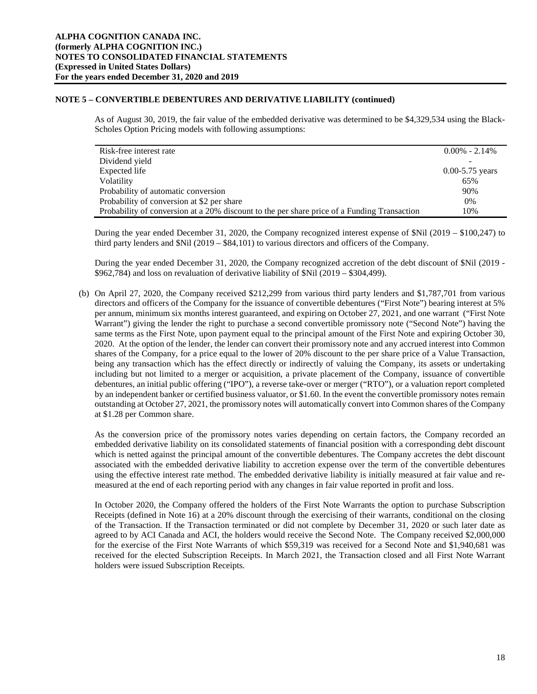## **NOTE 5 – CONVERTIBLE DEBENTURES AND DERIVATIVE LIABILITY (continued)**

As of August 30, 2019, the fair value of the embedded derivative was determined to be \$4,329,534 using the Black-Scholes Option Pricing models with following assumptions:

| Risk-free interest rate                                                                     | $0.00\% - 2.14\%$   |
|---------------------------------------------------------------------------------------------|---------------------|
| Dividend yield                                                                              |                     |
| Expected life                                                                               | $0.00 - 5.75$ years |
| <b>Volatility</b>                                                                           | 65%                 |
| Probability of automatic conversion                                                         | 90%                 |
| Probability of conversion at \$2 per share                                                  | 0%                  |
| Probability of conversion at a 20% discount to the per share price of a Funding Transaction | 10%                 |

During the year ended December 31, 2020, the Company recognized interest expense of \$Nil (2019 – \$100,247) to third party lenders and \$Nil (2019 – \$84,101) to various directors and officers of the Company.

During the year ended December 31, 2020, the Company recognized accretion of the debt discount of \$Nil (2019 -  $$962,784$ ) and loss on revaluation of derivative liability of  $$Nil (2019 - $304,499)$ .

(b) On April 27, 2020, the Company received \$212,299 from various third party lenders and \$1,787,701 from various directors and officers of the Company for the issuance of convertible debentures ("First Note") bearing interest at 5% per annum, minimum six months interest guaranteed, and expiring on October 27, 2021, and one warrant ("First Note Warrant") giving the lender the right to purchase a second convertible promissory note ("Second Note") having the same terms as the First Note, upon payment equal to the principal amount of the First Note and expiring October 30, 2020. At the option of the lender, the lender can convert their promissory note and any accrued interest into Common shares of the Company, for a price equal to the lower of 20% discount to the per share price of a Value Transaction, being any transaction which has the effect directly or indirectly of valuing the Company, its assets or undertaking including but not limited to a merger or acquisition, a private placement of the Company, issuance of convertible debentures, an initial public offering ("IPO"), a reverse take-over or merger ("RTO"), or a valuation report completed by an independent banker or certified business valuator, or \$1.60. In the event the convertible promissory notes remain outstanding at October 27, 2021, the promissory notes will automatically convert into Common shares of the Company at \$1.28 per Common share.

As the conversion price of the promissory notes varies depending on certain factors, the Company recorded an embedded derivative liability on its consolidated statements of financial position with a corresponding debt discount which is netted against the principal amount of the convertible debentures. The Company accretes the debt discount associated with the embedded derivative liability to accretion expense over the term of the convertible debentures using the effective interest rate method. The embedded derivative liability is initially measured at fair value and remeasured at the end of each reporting period with any changes in fair value reported in profit and loss.

In October 2020, the Company offered the holders of the First Note Warrants the option to purchase Subscription Receipts (defined in Note 16) at a 20% discount through the exercising of their warrants, conditional on the closing of the Transaction. If the Transaction terminated or did not complete by December 31, 2020 or such later date as agreed to by ACI Canada and ACI, the holders would receive the Second Note. The Company received \$2,000,000 for the exercise of the First Note Warrants of which \$59,319 was received for a Second Note and \$1,940,681 was received for the elected Subscription Receipts. In March 2021, the Transaction closed and all First Note Warrant holders were issued Subscription Receipts.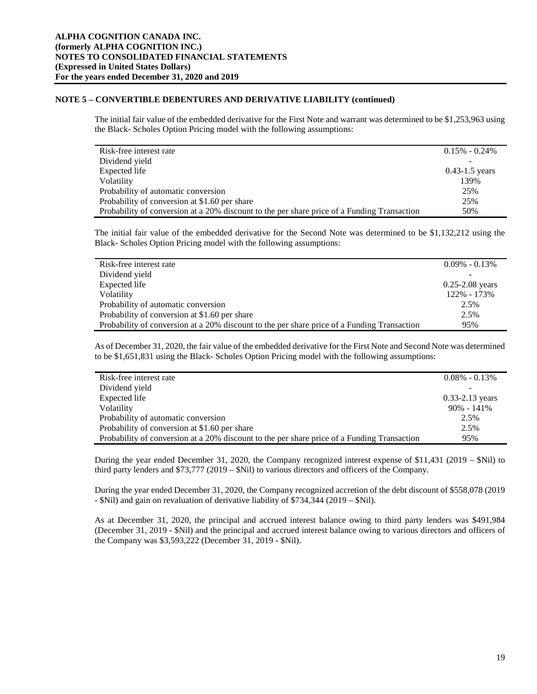## **NOTE 5 – CONVERTIBLE DEBENTURES AND DERIVATIVE LIABILITY (continued)**

The initial fair value of the embedded derivative for the First Note and warrant was determined to be \$1,253,963 using the Black- Scholes Option Pricing model with the following assumptions:

| Risk-free interest rate                                                                     | $0.15\% - 0.24\%$  |
|---------------------------------------------------------------------------------------------|--------------------|
| Dividend yield                                                                              |                    |
| Expected life                                                                               | $0.43 - 1.5$ years |
| <i>Volatility</i>                                                                           | 139%               |
| Probability of automatic conversion                                                         | 25%                |
| Probability of conversion at \$1.60 per share                                               | 25%                |
| Probability of conversion at a 20% discount to the per share price of a Funding Transaction | 50%                |

The initial fair value of the embedded derivative for the Second Note was determined to be \$1,132,212 using the Black- Scholes Option Pricing model with the following assumptions:

| Risk-free interest rate                                                                     | $0.09\% - 0.13\%$   |
|---------------------------------------------------------------------------------------------|---------------------|
| Dividend yield                                                                              |                     |
| Expected life                                                                               | $0.25 - 2.08$ years |
| <b>Volatility</b>                                                                           | 122% - 173%         |
| Probability of automatic conversion                                                         | 2.5%                |
| Probability of conversion at \$1.60 per share                                               | 2.5%                |
| Probability of conversion at a 20% discount to the per share price of a Funding Transaction | 95%                 |

As of December 31, 2020, the fair value of the embedded derivative for the First Note and Second Note was determined to be \$1,651,831 using the Black- Scholes Option Pricing model with the following assumptions:

| Risk-free interest rate                                                                     | $0.08\% - 0.13\%$   |
|---------------------------------------------------------------------------------------------|---------------------|
| Dividend yield                                                                              |                     |
| Expected life                                                                               | $0.33 - 2.13$ years |
| <b>Volatility</b>                                                                           | $90\% - 141\%$      |
| Probability of automatic conversion                                                         | 2.5%                |
| Probability of conversion at \$1.60 per share                                               | 2.5%                |
| Probability of conversion at a 20% discount to the per share price of a Funding Transaction | 95%                 |

During the year ended December 31, 2020, the Company recognized interest expense of \$11,431 (2019 – \$Nil) to third party lenders and \$73,777 (2019 – \$Nil) to various directors and officers of the Company.

During the year ended December 31, 2020, the Company recognized accretion of the debt discount of \$558,078 (2019 - \$Nil) and gain on revaluation of derivative liability of \$734,344 (2019 – \$Nil).

As at December 31, 2020, the principal and accrued interest balance owing to third party lenders was \$491,984 (December 31, 2019 - \$Nil) and the principal and accrued interest balance owing to various directors and officers of the Company was \$3,593,222 (December 31, 2019 - \$Nil).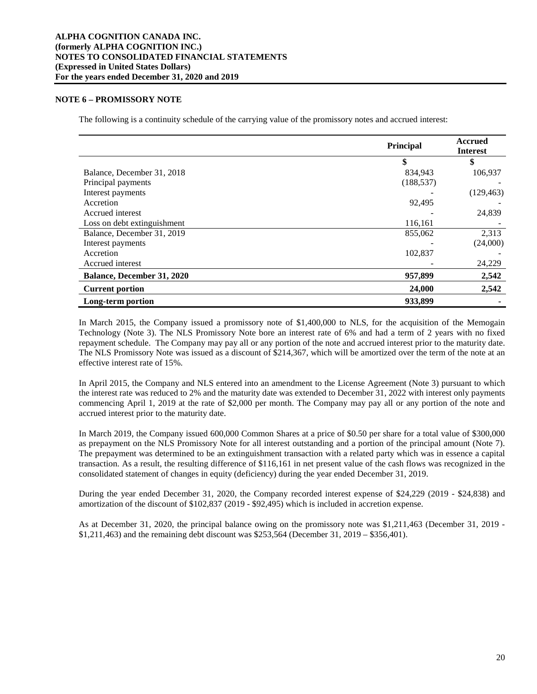## **NOTE 6 – PROMISSORY NOTE**

The following is a continuity schedule of the carrying value of the promissory notes and accrued interest:

|                                   | Principal  | <b>Accrued</b><br><b>Interest</b> |
|-----------------------------------|------------|-----------------------------------|
|                                   | \$         | \$                                |
| Balance, December 31, 2018        | 834.943    | 106,937                           |
| Principal payments                | (188, 537) |                                   |
| Interest payments                 |            | (129, 463)                        |
| Accretion                         | 92,495     |                                   |
| Accrued interest                  |            | 24,839                            |
| Loss on debt extinguishment       | 116,161    |                                   |
| Balance, December 31, 2019        | 855,062    | 2,313                             |
| Interest payments                 |            | (24,000)                          |
| Accretion                         | 102,837    |                                   |
| Accrued interest                  |            | 24,229                            |
| <b>Balance, December 31, 2020</b> | 957,899    | 2,542                             |
| <b>Current portion</b>            | 24,000     | 2,542                             |
| Long-term portion                 | 933.899    |                                   |

In March 2015, the Company issued a promissory note of \$1,400,000 to NLS, for the acquisition of the Memogain Technology (Note 3). The NLS Promissory Note bore an interest rate of 6% and had a term of 2 years with no fixed repayment schedule. The Company may pay all or any portion of the note and accrued interest prior to the maturity date. The NLS Promissory Note was issued as a discount of \$214,367, which will be amortized over the term of the note at an effective interest rate of 15%.

In April 2015, the Company and NLS entered into an amendment to the License Agreement (Note 3) pursuant to which the interest rate was reduced to 2% and the maturity date was extended to December 31, 2022 with interest only payments commencing April 1, 2019 at the rate of \$2,000 per month. The Company may pay all or any portion of the note and accrued interest prior to the maturity date.

In March 2019, the Company issued 600,000 Common Shares at a price of \$0.50 per share for a total value of \$300,000 as prepayment on the NLS Promissory Note for all interest outstanding and a portion of the principal amount (Note 7). The prepayment was determined to be an extinguishment transaction with a related party which was in essence a capital transaction. As a result, the resulting difference of \$116,161 in net present value of the cash flows was recognized in the consolidated statement of changes in equity (deficiency) during the year ended December 31, 2019.

During the year ended December 31, 2020, the Company recorded interest expense of \$24,229 (2019 - \$24,838) and amortization of the discount of \$102,837 (2019 - \$92,495) which is included in accretion expense.

As at December 31, 2020, the principal balance owing on the promissory note was \$1,211,463 (December 31, 2019 - \$1,211,463) and the remaining debt discount was \$253,564 (December 31, 2019 – \$356,401).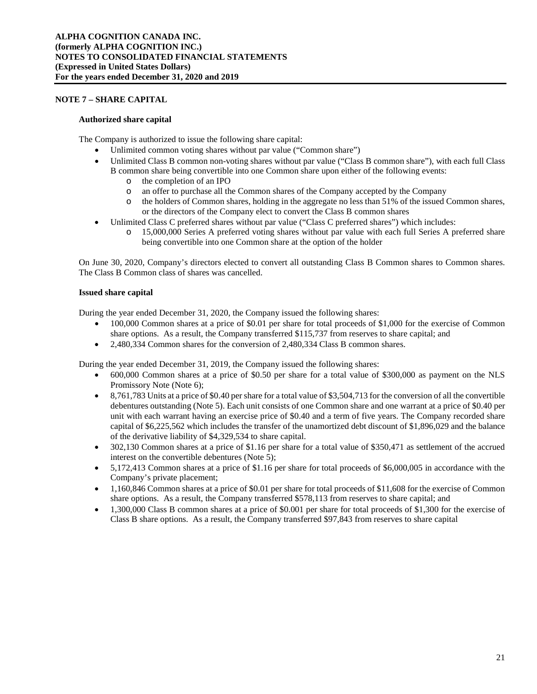## **NOTE 7 – SHARE CAPITAL**

## **Authorized share capital**

The Company is authorized to issue the following share capital:

- Unlimited common voting shares without par value ("Common share")
- Unlimited Class B common non-voting shares without par value ("Class B common share"), with each full Class B common share being convertible into one Common share upon either of the following events:
	- o the completion of an IPO<br>o an offer to purchase all the
	- o an offer to purchase all the Common shares of the Company accepted by the Company
	- the holders of Common shares, holding in the aggregate no less than 51% of the issued Common shares, or the directors of the Company elect to convert the Class B common shares
- Unlimited Class C preferred shares without par value ("Class C preferred shares") which includes:
	- o 15,000,000 Series A preferred voting shares without par value with each full Series A preferred share being convertible into one Common share at the option of the holder

On June 30, 2020, Company's directors elected to convert all outstanding Class B Common shares to Common shares. The Class B Common class of shares was cancelled.

## **Issued share capital**

During the year ended December 31, 2020, the Company issued the following shares:

- 100,000 Common shares at a price of \$0.01 per share for total proceeds of \$1,000 for the exercise of Common share options. As a result, the Company transferred \$115,737 from reserves to share capital; and
- 2,480,334 Common shares for the conversion of 2,480,334 Class B common shares.

During the year ended December 31, 2019, the Company issued the following shares:

- 600,000 Common shares at a price of \$0.50 per share for a total value of \$300,000 as payment on the NLS Promissory Note (Note 6);
- 8,761,783 Units at a price of \$0.40 per share for a total value of \$3,504,713 for the conversion of all the convertible debentures outstanding (Note 5). Each unit consists of one Common share and one warrant at a price of \$0.40 per unit with each warrant having an exercise price of \$0.40 and a term of five years. The Company recorded share capital of \$6,225,562 which includes the transfer of the unamortized debt discount of \$1,896,029 and the balance of the derivative liability of \$4,329,534 to share capital.
- 302,130 Common shares at a price of \$1.16 per share for a total value of \$350,471 as settlement of the accrued interest on the convertible debentures (Note 5);
- 5,172,413 Common shares at a price of \$1.16 per share for total proceeds of \$6,000,005 in accordance with the Company's private placement;
- 1,160,846 Common shares at a price of \$0.01 per share for total proceeds of \$11,608 for the exercise of Common share options. As a result, the Company transferred \$578,113 from reserves to share capital; and
- 1,300,000 Class B common shares at a price of \$0.001 per share for total proceeds of \$1,300 for the exercise of Class B share options. As a result, the Company transferred \$97,843 from reserves to share capital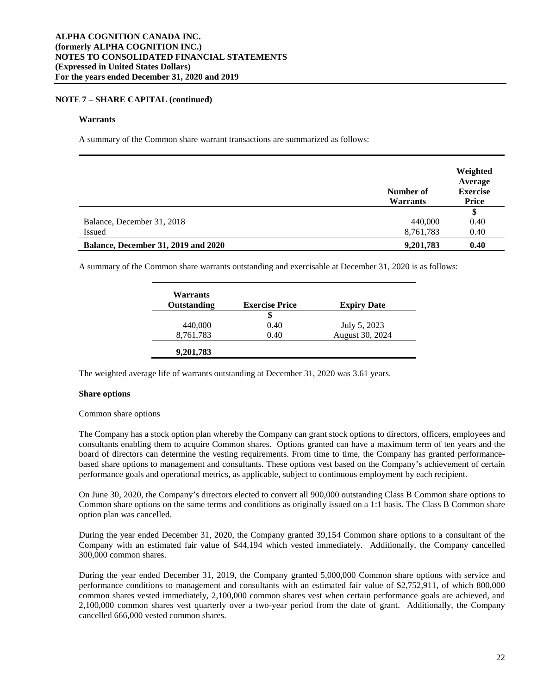## **NOTE 7 – SHARE CAPITAL (continued)**

#### **Warrants**

A summary of the Common share warrant transactions are summarized as follows:

|                                            | Number of<br><b>Warrants</b> | Weighted<br>Average<br><b>Exercise</b><br>Price |
|--------------------------------------------|------------------------------|-------------------------------------------------|
|                                            |                              | \$                                              |
| Balance, December 31, 2018                 | 440,000                      | 0.40                                            |
| Issued                                     | 8,761,783                    | 0.40                                            |
| <b>Balance, December 31, 2019 and 2020</b> | 9,201,783                    | 0.40                                            |

A summary of the Common share warrants outstanding and exercisable at December 31, 2020 is as follows:

| Outstanding | <b>Exercise Price</b> | <b>Expiry Date</b> |
|-------------|-----------------------|--------------------|
|             |                       |                    |
| 440,000     | 0.40                  | July 5, 2023       |
| 8,761,783   | 0.40                  | August 30, 2024    |

The weighted average life of warrants outstanding at December 31, 2020 was 3.61 years.

## **Share options**

#### Common share options

The Company has a stock option plan whereby the Company can grant stock options to directors, officers, employees and consultants enabling them to acquire Common shares. Options granted can have a maximum term of ten years and the board of directors can determine the vesting requirements. From time to time, the Company has granted performancebased share options to management and consultants. These options vest based on the Company's achievement of certain performance goals and operational metrics, as applicable, subject to continuous employment by each recipient.

On June 30, 2020, the Company's directors elected to convert all 900,000 outstanding Class B Common share options to Common share options on the same terms and conditions as originally issued on a 1:1 basis. The Class B Common share option plan was cancelled.

During the year ended December 31, 2020, the Company granted 39,154 Common share options to a consultant of the Company with an estimated fair value of \$44,194 which vested immediately. Additionally, the Company cancelled 300,000 common shares.

During the year ended December 31, 2019, the Company granted 5,000,000 Common share options with service and performance conditions to management and consultants with an estimated fair value of \$2,752,911, of which 800,000 common shares vested immediately, 2,100,000 common shares vest when certain performance goals are achieved, and 2,100,000 common shares vest quarterly over a two-year period from the date of grant. Additionally, the Company cancelled 666,000 vested common shares.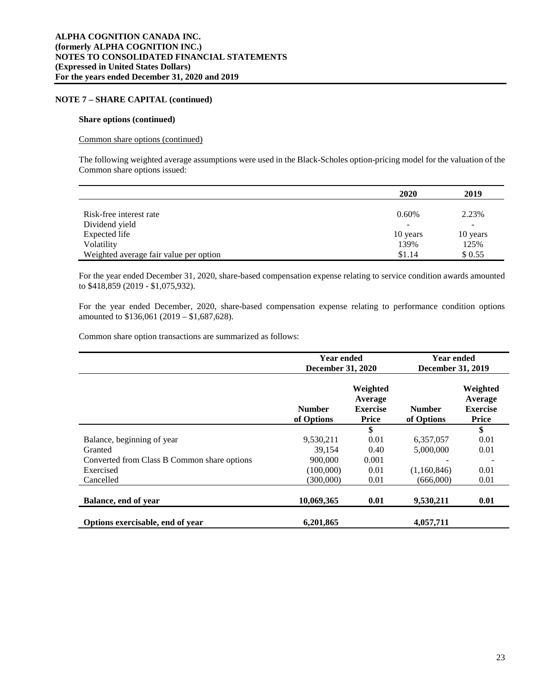## **NOTE 7 – SHARE CAPITAL (continued)**

#### **Share options (continued)**

## Common share options (continued)

The following weighted average assumptions were used in the Black-Scholes option-pricing model for the valuation of the Common share options issued:

|                                        | 2020     | 2019     |
|----------------------------------------|----------|----------|
|                                        |          |          |
| Risk-free interest rate                | 0.60%    | 2.23%    |
| Dividend yield                         | ۰        |          |
| Expected life                          | 10 years | 10 years |
| <b>Volatility</b>                      | 139%     | 125%     |
| Weighted average fair value per option | \$1.14   | \$0.55   |

For the year ended December 31, 2020, share-based compensation expense relating to service condition awards amounted to \$418,859 (2019 - \$1,075,932).

For the year ended December, 2020, share-based compensation expense relating to performance condition options amounted to \$136,061 (2019 – \$1,687,628).

Common share option transactions are summarized as follows:

|                                             | Year ended<br><b>December 31, 2020</b> |                                                        | <b>Year ended</b><br><b>December 31, 2019</b> |                                                        |
|---------------------------------------------|----------------------------------------|--------------------------------------------------------|-----------------------------------------------|--------------------------------------------------------|
|                                             | <b>Number</b><br>of Options            | Weighted<br>Average<br><b>Exercise</b><br><b>Price</b> | <b>Number</b><br>of Options                   | Weighted<br>Average<br><b>Exercise</b><br><b>Price</b> |
|                                             |                                        | \$                                                     |                                               | \$                                                     |
| Balance, beginning of year                  | 9,530,211                              | 0.01                                                   | 6,357,057                                     | 0.01                                                   |
| Granted                                     | 39,154                                 | 0.40                                                   | 5,000,000                                     | 0.01                                                   |
| Converted from Class B Common share options | 900,000                                | 0.001                                                  |                                               |                                                        |
| Exercised                                   | (100,000)                              | 0.01                                                   | (1,160,846)                                   | 0.01                                                   |
| Cancelled                                   | (300,000)                              | 0.01                                                   | (666,000)                                     | 0.01                                                   |
| Balance, end of year                        | 10,069,365                             | 0.01                                                   | 9,530,211                                     | 0.01                                                   |
| Options exercisable, end of year            | 6,201,865                              |                                                        | 4,057,711                                     |                                                        |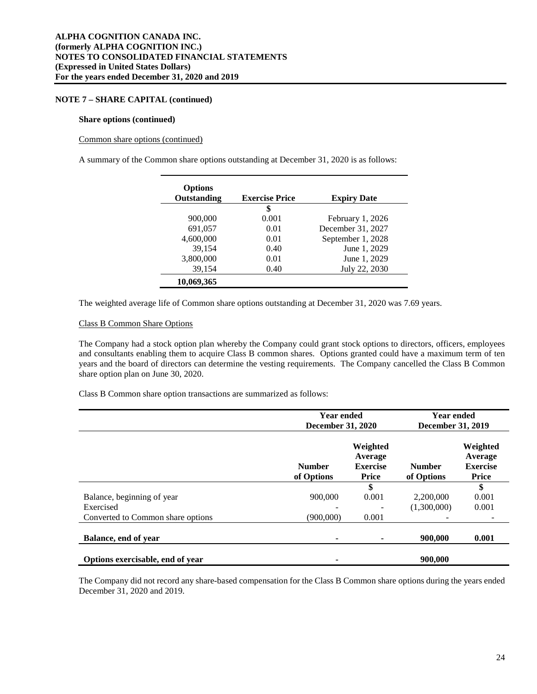## **NOTE 7 – SHARE CAPITAL (continued)**

#### **Share options (continued)**

### Common share options (continued)

A summary of the Common share options outstanding at December 31, 2020 is as follows:

| <b>Options</b><br>Outstanding | <b>Exercise Price</b> | <b>Expiry Date</b> |
|-------------------------------|-----------------------|--------------------|
|                               | \$                    |                    |
| 900,000                       | 0.001                 | February 1, 2026   |
| 691,057                       | 0.01                  | December 31, 2027  |
| 4,600,000                     | 0.01                  | September 1, 2028  |
| 39.154                        | 0.40                  | June 1, 2029       |
| 3,800,000                     | 0.01                  | June 1, 2029       |
| 39,154                        | 0.40                  | July 22, 2030      |
| 10,069,365                    |                       |                    |

The weighted average life of Common share options outstanding at December 31, 2020 was 7.69 years.

## Class B Common Share Options

The Company had a stock option plan whereby the Company could grant stock options to directors, officers, employees and consultants enabling them to acquire Class B common shares. Options granted could have a maximum term of ten years and the board of directors can determine the vesting requirements. The Company cancelled the Class B Common share option plan on June 30, 2020.

Class B Common share option transactions are summarized as follows:

|                                   | <b>Year ended</b>           |                                                        | <b>Year ended</b>           |                                                        |
|-----------------------------------|-----------------------------|--------------------------------------------------------|-----------------------------|--------------------------------------------------------|
|                                   | <b>December 31, 2020</b>    |                                                        | <b>December 31, 2019</b>    |                                                        |
|                                   | <b>Number</b><br>of Options | Weighted<br>Average<br><b>Exercise</b><br><b>Price</b> | <b>Number</b><br>of Options | Weighted<br>Average<br><b>Exercise</b><br><b>Price</b> |
|                                   |                             | \$                                                     |                             | \$                                                     |
| Balance, beginning of year        | 900,000                     | 0.001                                                  | 2,200,000                   | 0.001                                                  |
| Exercised                         |                             |                                                        | (1,300,000)                 | 0.001                                                  |
| Converted to Common share options | (900,000)                   | 0.001                                                  |                             |                                                        |
| Balance, end of year              |                             |                                                        | 900,000                     | 0.001                                                  |
| Options exercisable, end of year  |                             |                                                        | 900,000                     |                                                        |

The Company did not record any share-based compensation for the Class B Common share options during the years ended December 31, 2020 and 2019.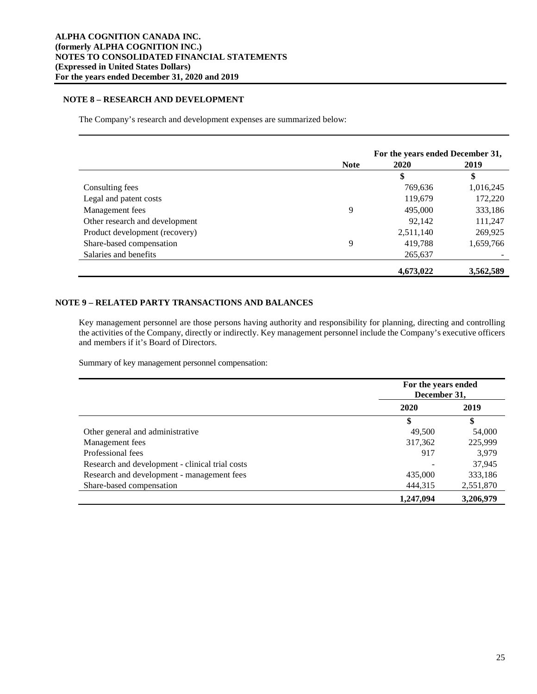## **NOTE 8 – RESEARCH AND DEVELOPMENT**

The Company's research and development expenses are summarized below:

|                                |                     | For the years ended December 31, |           |
|--------------------------------|---------------------|----------------------------------|-----------|
|                                | <b>Note</b><br>2020 |                                  | 2019      |
|                                |                     | \$                               | \$        |
| Consulting fees                |                     | 769,636                          | 1,016,245 |
| Legal and patent costs         |                     | 119,679                          | 172,220   |
| Management fees                | 9                   | 495,000                          | 333,186   |
| Other research and development |                     | 92,142                           | 111,247   |
| Product development (recovery) |                     | 2,511,140                        | 269,925   |
| Share-based compensation       | 9                   | 419,788                          | 1,659,766 |
| Salaries and benefits          |                     | 265,637                          |           |
|                                |                     | 4,673,022                        | 3,562,589 |

## **NOTE 9 – RELATED PARTY TRANSACTIONS AND BALANCES**

Key management personnel are those persons having authority and responsibility for planning, directing and controlling the activities of the Company, directly or indirectly. Key management personnel include the Company's executive officers and members if it's Board of Directors.

Summary of key management personnel compensation:

|                                                 | For the years ended<br>December 31, |           |
|-------------------------------------------------|-------------------------------------|-----------|
|                                                 | 2020                                | 2019      |
|                                                 | \$                                  | \$        |
| Other general and administrative                | 49,500                              | 54,000    |
| Management fees                                 | 317,362                             | 225,999   |
| Professional fees                               | 917                                 | 3.979     |
| Research and development - clinical trial costs |                                     | 37,945    |
| Research and development - management fees      | 435,000                             | 333,186   |
| Share-based compensation                        | 444,315                             | 2,551,870 |
|                                                 | 1,247,094                           | 3,206,979 |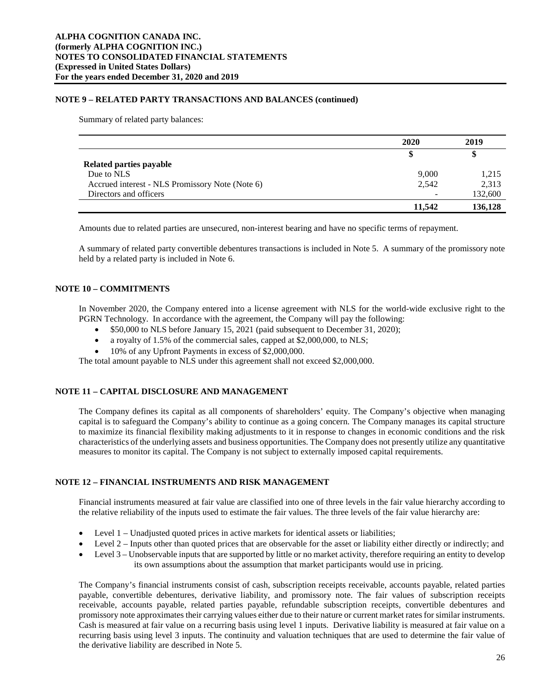## **NOTE 9 – RELATED PARTY TRANSACTIONS AND BALANCES (continued)**

Summary of related party balances:

|                                                 | 2020                     | 2019    |
|-------------------------------------------------|--------------------------|---------|
|                                                 | y.                       |         |
| Related parties payable                         |                          |         |
| Due to NLS                                      | 9,000                    | 1,215   |
| Accrued interest - NLS Promissory Note (Note 6) | 2,542                    | 2,313   |
| Directors and officers                          | $\overline{\phantom{a}}$ | 132,600 |
|                                                 | 11.542                   | 136,128 |

Amounts due to related parties are unsecured, non-interest bearing and have no specific terms of repayment.

A summary of related party convertible debentures transactions is included in Note 5. A summary of the promissory note held by a related party is included in Note 6.

## **NOTE 10 – COMMITMENTS**

In November 2020, the Company entered into a license agreement with NLS for the world-wide exclusive right to the PGRN Technology. In accordance with the agreement, the Company will pay the following:

- \$50,000 to NLS before January 15, 2021 (paid subsequent to December 31, 2020);
- a royalty of 1.5% of the commercial sales, capped at \$2,000,000, to NLS;
- 10% of any Upfront Payments in excess of \$2,000,000.

The total amount payable to NLS under this agreement shall not exceed \$2,000,000.

## **NOTE 11 – CAPITAL DISCLOSURE AND MANAGEMENT**

The Company defines its capital as all components of shareholders' equity. The Company's objective when managing capital is to safeguard the Company's ability to continue as a going concern. The Company manages its capital structure to maximize its financial flexibility making adjustments to it in response to changes in economic conditions and the risk characteristics of the underlying assets and business opportunities. The Company does not presently utilize any quantitative measures to monitor its capital. The Company is not subject to externally imposed capital requirements.

# **NOTE 12 – FINANCIAL INSTRUMENTS AND RISK MANAGEMENT**

Financial instruments measured at fair value are classified into one of three levels in the fair value hierarchy according to the relative reliability of the inputs used to estimate the fair values. The three levels of the fair value hierarchy are:

- Level 1 Unadjusted quoted prices in active markets for identical assets or liabilities;
- Level 2 Inputs other than quoted prices that are observable for the asset or liability either directly or indirectly; and
- Level 3 Unobservable inputs that are supported by little or no market activity, therefore requiring an entity to develop its own assumptions about the assumption that market participants would use in pricing.

The Company's financial instruments consist of cash, subscription receipts receivable, accounts payable, related parties payable, convertible debentures, derivative liability, and promissory note. The fair values of subscription receipts receivable, accounts payable, related parties payable, refundable subscription receipts, convertible debentures and promissory note approximates their carrying values either due to their nature or current market rates for similar instruments. Cash is measured at fair value on a recurring basis using level 1 inputs. Derivative liability is measured at fair value on a recurring basis using level 3 inputs. The continuity and valuation techniques that are used to determine the fair value of the derivative liability are described in Note 5.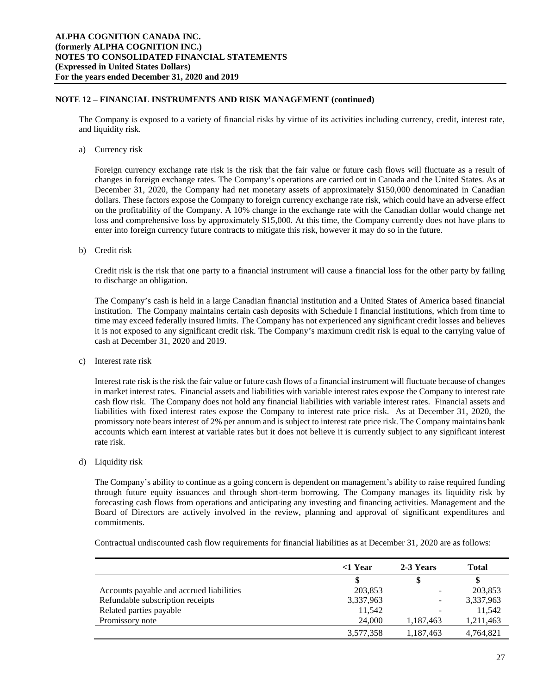## **NOTE 12 – FINANCIAL INSTRUMENTS AND RISK MANAGEMENT (continued)**

The Company is exposed to a variety of financial risks by virtue of its activities including currency, credit, interest rate, and liquidity risk.

a) Currency risk

Foreign currency exchange rate risk is the risk that the fair value or future cash flows will fluctuate as a result of changes in foreign exchange rates. The Company's operations are carried out in Canada and the United States. As at December 31, 2020, the Company had net monetary assets of approximately \$150,000 denominated in Canadian dollars. These factors expose the Company to foreign currency exchange rate risk, which could have an adverse effect on the profitability of the Company. A 10% change in the exchange rate with the Canadian dollar would change net loss and comprehensive loss by approximately \$15,000. At this time, the Company currently does not have plans to enter into foreign currency future contracts to mitigate this risk, however it may do so in the future.

b) Credit risk

Credit risk is the risk that one party to a financial instrument will cause a financial loss for the other party by failing to discharge an obligation.

The Company's cash is held in a large Canadian financial institution and a United States of America based financial institution. The Company maintains certain cash deposits with Schedule I financial institutions, which from time to time may exceed federally insured limits. The Company has not experienced any significant credit losses and believes it is not exposed to any significant credit risk. The Company's maximum credit risk is equal to the carrying value of cash at December 31, 2020 and 2019.

c) Interest rate risk

Interest rate risk is the risk the fair value or future cash flows of a financial instrument will fluctuate because of changes in market interest rates. Financial assets and liabilities with variable interest rates expose the Company to interest rate cash flow risk. The Company does not hold any financial liabilities with variable interest rates. Financial assets and liabilities with fixed interest rates expose the Company to interest rate price risk. As at December 31, 2020, the promissory note bears interest of 2% per annum and is subject to interest rate price risk. The Company maintains bank accounts which earn interest at variable rates but it does not believe it is currently subject to any significant interest rate risk.

d) Liquidity risk

The Company's ability to continue as a going concern is dependent on management's ability to raise required funding through future equity issuances and through short-term borrowing. The Company manages its liquidity risk by forecasting cash flows from operations and anticipating any investing and financing activities. Management and the Board of Directors are actively involved in the review, planning and approval of significant expenditures and commitments.

Contractual undiscounted cash flow requirements for financial liabilities as at December 31, 2020 are as follows:

|                                          | $<$ 1 Year | 2-3 Years                | Total     |
|------------------------------------------|------------|--------------------------|-----------|
|                                          |            | S                        |           |
| Accounts payable and accrued liabilities | 203,853    | $\overline{\phantom{a}}$ | 203,853   |
| Refundable subscription receipts         | 3,337,963  | $\overline{\phantom{a}}$ | 3,337,963 |
| Related parties payable                  | 11.542     | $\overline{\phantom{a}}$ | 11,542    |
| Promissory note                          | 24,000     | 1,187,463                | 1,211,463 |
|                                          | 3,577,358  | 1,187,463                | 4,764,821 |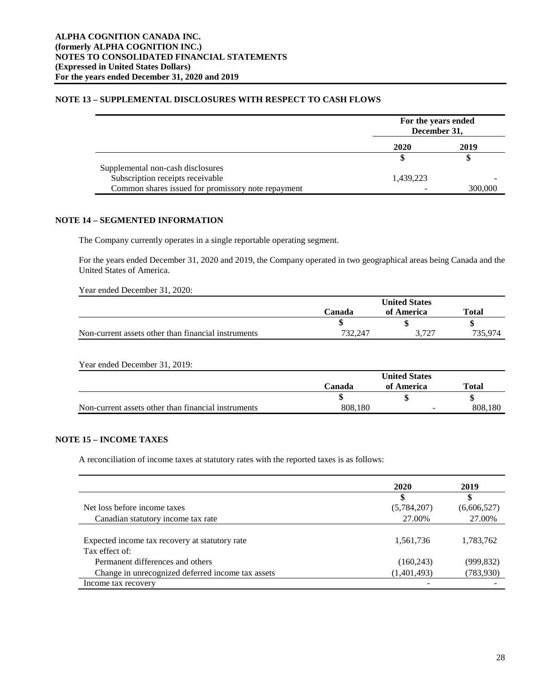# **NOTE 13 – SUPPLEMENTAL DISCLOSURES WITH RESPECT TO CASH FLOWS**

|                                                    | For the years ended<br>December 31, |         |
|----------------------------------------------------|-------------------------------------|---------|
|                                                    | 2020                                | 2019    |
|                                                    |                                     |         |
| Supplemental non-cash disclosures                  |                                     |         |
| Subscription receipts receivable                   | 1,439,223                           |         |
| Common shares issued for promissory note repayment |                                     | 300,000 |

## **NOTE 14 – SEGMENTED INFORMATION**

The Company currently operates in a single reportable operating segment.

For the years ended December 31, 2020 and 2019, the Company operated in two geographical areas being Canada and the United States of America.

Year ended December 31, 2020:

|                                                     | <b>United States</b> |            |         |
|-----------------------------------------------------|----------------------|------------|---------|
|                                                     | Canada               | of America | Total   |
|                                                     |                      |            |         |
| Non-current assets other than financial instruments | 732,247              | 3.727      | 735.974 |

Year ended December 31, 2019:

|                                                     | <b>United States</b> |            |              |
|-----------------------------------------------------|----------------------|------------|--------------|
|                                                     | Canada               | of America | <b>Total</b> |
|                                                     |                      |            |              |
| Non-current assets other than financial instruments | 808.180              | -          | 808.180      |

# **NOTE 15 – INCOME TAXES**

A reconciliation of income taxes at statutory rates with the reported taxes is as follows:

|                                                   | 2020        | 2019        |
|---------------------------------------------------|-------------|-------------|
|                                                   | \$          | \$          |
| Net loss before income taxes                      | (5,784,207) | (6,606,527) |
| Canadian statutory income tax rate                | 27.00%      | 27.00%      |
|                                                   |             |             |
| Expected income tax recovery at statutory rate    | 1,561,736   | 1,783,762   |
| Tax effect of:                                    |             |             |
| Permanent differences and others                  | (160, 243)  | (999, 832)  |
| Change in unrecognized deferred income tax assets | (1,401,493) | (783, 930)  |
| Income tax recovery                               |             |             |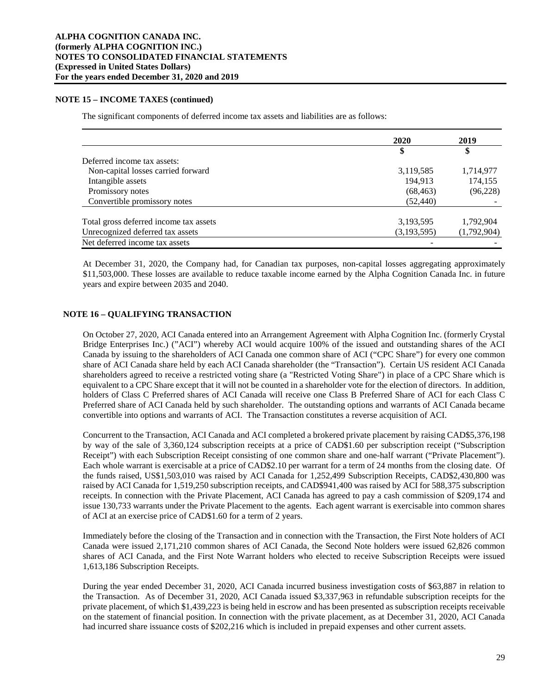## **NOTE 15 – INCOME TAXES (continued)**

The significant components of deferred income tax assets and liabilities are as follows:

|                                        | 2020        | 2019        |
|----------------------------------------|-------------|-------------|
|                                        | \$          | \$          |
| Deferred income tax assets:            |             |             |
| Non-capital losses carried forward     | 3,119,585   | 1,714,977   |
| Intangible assets                      | 194.913     | 174,155     |
| Promissory notes                       | (68, 463)   | (96, 228)   |
| Convertible promissory notes           | (52, 440)   |             |
| Total gross deferred income tax assets | 3,193,595   | 1,792,904   |
| Unrecognized deferred tax assets       | (3,193,595) | (1,792,904) |
| Net deferred income tax assets         |             |             |

At December 31, 2020, the Company had, for Canadian tax purposes, non-capital losses aggregating approximately \$11,503,000. These losses are available to reduce taxable income earned by the Alpha Cognition Canada Inc. in future years and expire between 2035 and 2040.

## **NOTE 16 – QUALIFYING TRANSACTION**

On October 27, 2020, ACI Canada entered into an Arrangement Agreement with Alpha Cognition Inc. (formerly Crystal Bridge Enterprises Inc.) ("ACI") whereby ACI would acquire 100% of the issued and outstanding shares of the ACI Canada by issuing to the shareholders of ACI Canada one common share of ACI ("CPC Share") for every one common share of ACI Canada share held by each ACI Canada shareholder (the "Transaction"). Certain US resident ACI Canada shareholders agreed to receive a restricted voting share (a "Restricted Voting Share") in place of a CPC Share which is equivalent to a CPC Share except that it will not be counted in a shareholder vote for the election of directors. In addition, holders of Class C Preferred shares of ACI Canada will receive one Class B Preferred Share of ACI for each Class C Preferred share of ACI Canada held by such shareholder. The outstanding options and warrants of ACI Canada became convertible into options and warrants of ACI. The Transaction constitutes a reverse acquisition of ACI.

Concurrent to the Transaction, ACI Canada and ACI completed a brokered private placement by raising CAD\$5,376,198 by way of the sale of 3,360,124 subscription receipts at a price of CAD\$1.60 per subscription receipt ("Subscription Receipt") with each Subscription Receipt consisting of one common share and one-half warrant ("Private Placement"). Each whole warrant is exercisable at a price of CAD\$2.10 per warrant for a term of 24 months from the closing date. Of the funds raised, US\$1,503,010 was raised by ACI Canada for 1,252,499 Subscription Receipts, CAD\$2,430,800 was raised by ACI Canada for 1,519,250 subscription receipts, and CAD\$941,400 was raised by ACI for 588,375 subscription receipts. In connection with the Private Placement, ACI Canada has agreed to pay a cash commission of \$209,174 and issue 130,733 warrants under the Private Placement to the agents. Each agent warrant is exercisable into common shares of ACI at an exercise price of CAD\$1.60 for a term of 2 years.

Immediately before the closing of the Transaction and in connection with the Transaction, the First Note holders of ACI Canada were issued 2,171,210 common shares of ACI Canada, the Second Note holders were issued 62,826 common shares of ACI Canada, and the First Note Warrant holders who elected to receive Subscription Receipts were issued 1,613,186 Subscription Receipts.

During the year ended December 31, 2020, ACI Canada incurred business investigation costs of \$63,887 in relation to the Transaction. As of December 31, 2020, ACI Canada issued \$3,337,963 in refundable subscription receipts for the private placement, of which \$1,439,223 is being held in escrow and has been presented as subscription receipts receivable on the statement of financial position. In connection with the private placement, as at December 31, 2020, ACI Canada had incurred share issuance costs of \$202,216 which is included in prepaid expenses and other current assets.